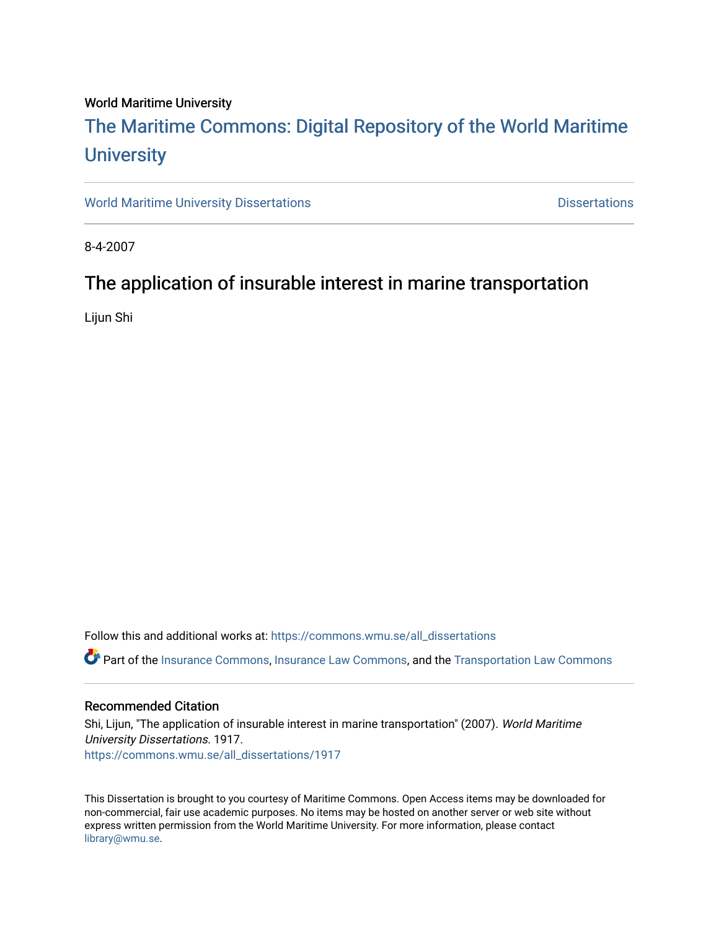#### World Maritime University

# [The Maritime Commons: Digital Repository of the World Maritime](https://commons.wmu.se/)  **University**

[World Maritime University Dissertations](https://commons.wmu.se/all_dissertations) **Example 20 and Taracceretic Contracts** Dissertations

8-4-2007

## The application of insurable interest in marine transportation

Lijun Shi

Follow this and additional works at: [https://commons.wmu.se/all\\_dissertations](https://commons.wmu.se/all_dissertations?utm_source=commons.wmu.se%2Fall_dissertations%2F1917&utm_medium=PDF&utm_campaign=PDFCoverPages) 

Part of the [Insurance Commons](http://network.bepress.com/hgg/discipline/645?utm_source=commons.wmu.se%2Fall_dissertations%2F1917&utm_medium=PDF&utm_campaign=PDFCoverPages), [Insurance Law Commons,](http://network.bepress.com/hgg/discipline/607?utm_source=commons.wmu.se%2Fall_dissertations%2F1917&utm_medium=PDF&utm_campaign=PDFCoverPages) and the [Transportation Law Commons](http://network.bepress.com/hgg/discipline/885?utm_source=commons.wmu.se%2Fall_dissertations%2F1917&utm_medium=PDF&utm_campaign=PDFCoverPages) 

#### Recommended Citation

Shi, Lijun, "The application of insurable interest in marine transportation" (2007). World Maritime University Dissertations. 1917. [https://commons.wmu.se/all\\_dissertations/1917](https://commons.wmu.se/all_dissertations/1917?utm_source=commons.wmu.se%2Fall_dissertations%2F1917&utm_medium=PDF&utm_campaign=PDFCoverPages)

This Dissertation is brought to you courtesy of Maritime Commons. Open Access items may be downloaded for non-commercial, fair use academic purposes. No items may be hosted on another server or web site without express written permission from the World Maritime University. For more information, please contact [library@wmu.se](mailto:library@wmu.edu).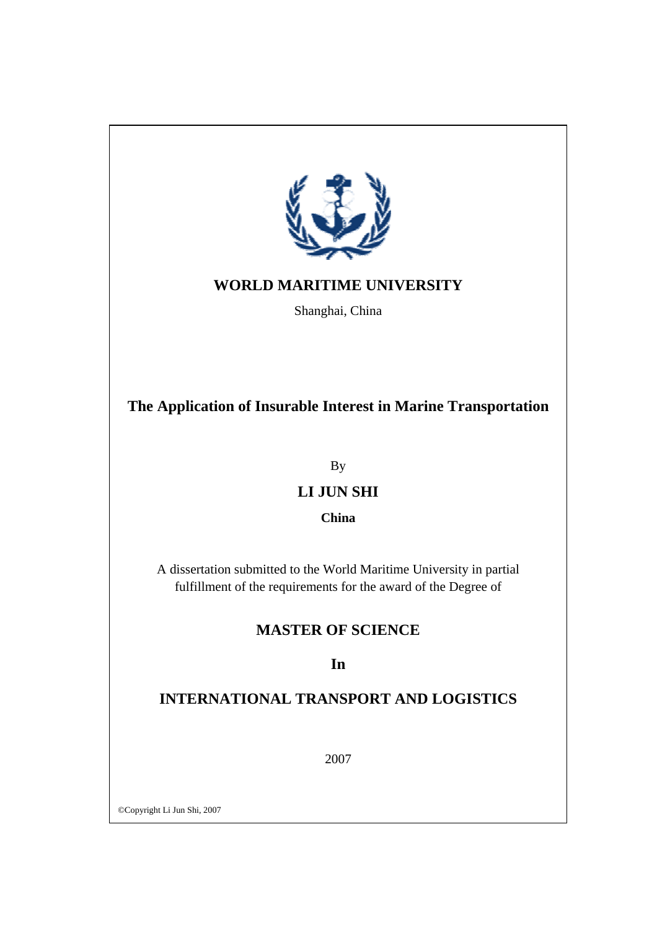

## **WORLD MARITIME UNIVERSITY**

Shanghai, China

**The Application of Insurable Interest in Marine Transportation** 

By

## **LI JUN SHI**

**China** 

A dissertation submitted to the World Maritime University in partial fulfillment of the requirements for the award of the Degree of

## **MASTER OF SCIENCE**

## **In**

## **INTERNATIONAL TRANSPORT AND LOGISTICS**

2007

©Copyright Li Jun Shi, 2007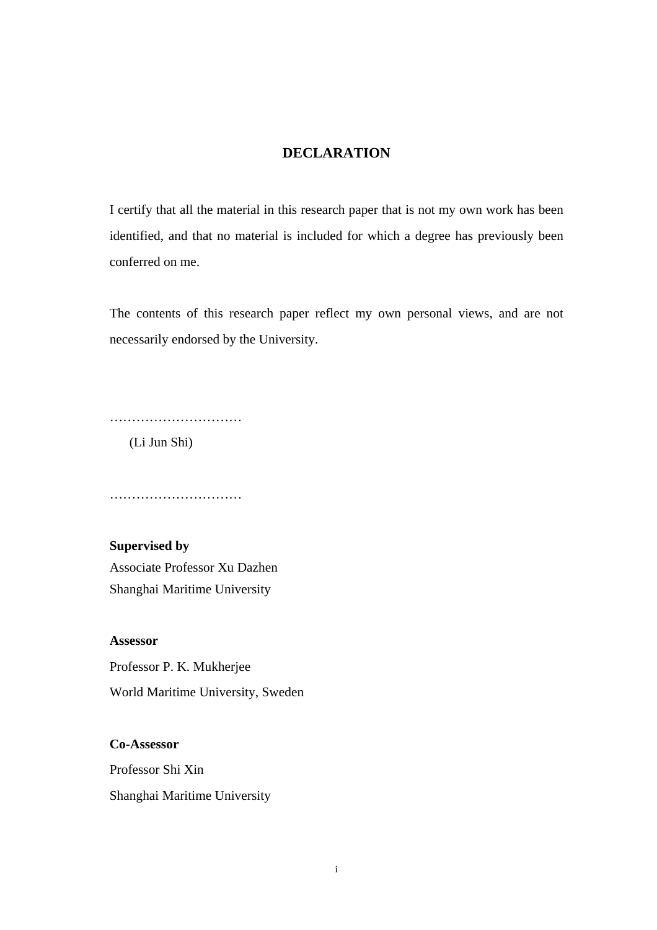### **DECLARATION**

I certify that all the material in this research paper that is not my own work has been identified, and that no material is included for which a degree has previously been conferred on me.

The contents of this research paper reflect my own personal views, and are not necessarily endorsed by the University.

…………………………

(Li Jun Shi)

………………………………

**Supervised by**  Associate Professor Xu Dazhen Shanghai Maritime University

#### **Assessor**

**Co-Assessor** 

Professor P. K. Mukherjee World Maritime University, Sweden

Professor Shi Xin Shanghai Maritime University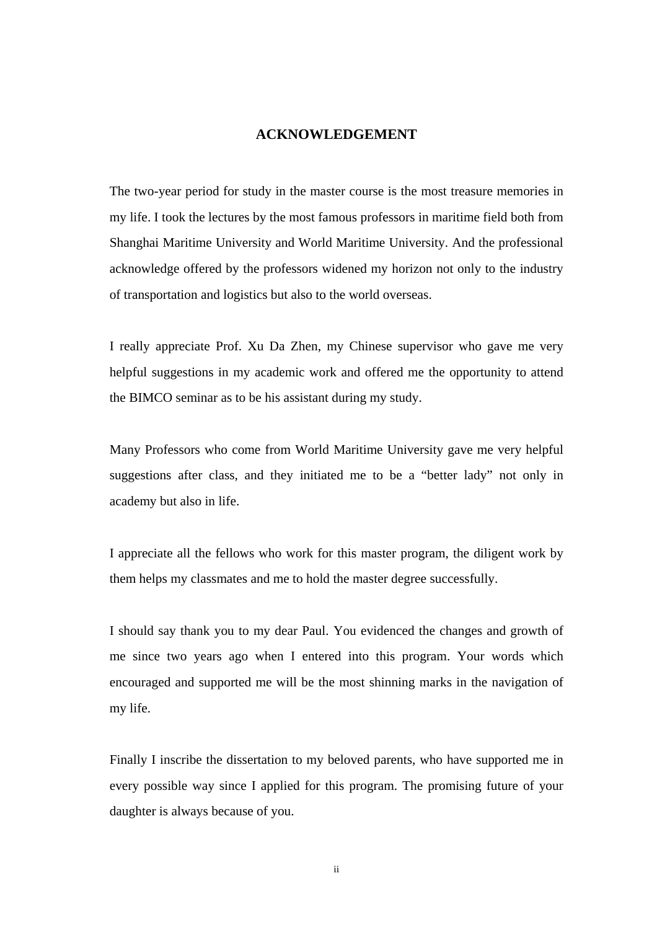#### **ACKNOWLEDGEMENT**

The two-year period for study in the master course is the most treasure memories in my life. I took the lectures by the most famous professors in maritime field both from Shanghai Maritime University and World Maritime University. And the professional acknowledge offered by the professors widened my horizon not only to the industry of transportation and logistics but also to the world overseas.

I really appreciate Prof. Xu Da Zhen, my Chinese supervisor who gave me very helpful suggestions in my academic work and offered me the opportunity to attend the BIMCO seminar as to be his assistant during my study.

Many Professors who come from World Maritime University gave me very helpful suggestions after class, and they initiated me to be a "better lady" not only in academy but also in life.

I appreciate all the fellows who work for this master program, the diligent work by them helps my classmates and me to hold the master degree successfully.

I should say thank you to my dear Paul. You evidenced the changes and growth of me since two years ago when I entered into this program. Your words which encouraged and supported me will be the most shinning marks in the navigation of my life.

Finally I inscribe the dissertation to my beloved parents, who have supported me in every possible way since I applied for this program. The promising future of your daughter is always because of you.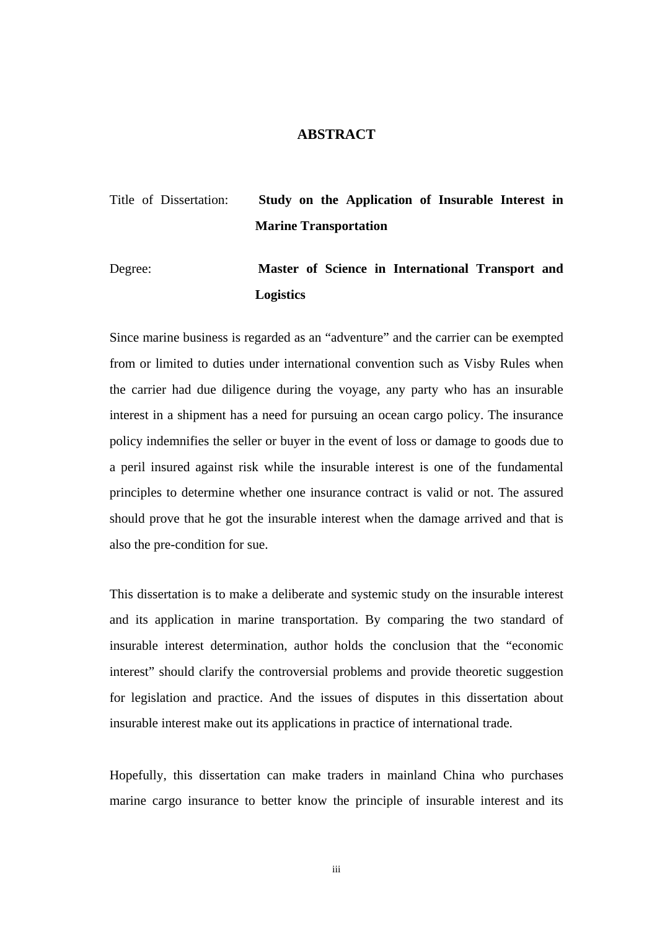#### **ABSTRACT**

## Title of Dissertation: **Study on the Application of Insurable Interest in Marine Transportation**

Degree: **Master of Science in International Transport and Logistics** 

Since marine business is regarded as an "adventure" and the carrier can be exempted from or limited to duties under international convention such as Visby Rules when the carrier had due diligence during the voyage, any party who has an insurable interest in a shipment has a need for pursuing an ocean cargo policy. The insurance policy indemnifies the seller or buyer in the event of loss or damage to goods due to a peril insured against risk while the insurable interest is one of the fundamental principles to determine whether one insurance contract is valid or not. The assured should prove that he got the insurable interest when the damage arrived and that is also the pre-condition for sue.

This dissertation is to make a deliberate and systemic study on the insurable interest and its application in marine transportation. By comparing the two standard of insurable interest determination, author holds the conclusion that the "economic interest" should clarify the controversial problems and provide theoretic suggestion for legislation and practice. And the issues of disputes in this dissertation about insurable interest make out its applications in practice of international trade.

Hopefully, this dissertation can make traders in mainland China who purchases marine cargo insurance to better know the principle of insurable interest and its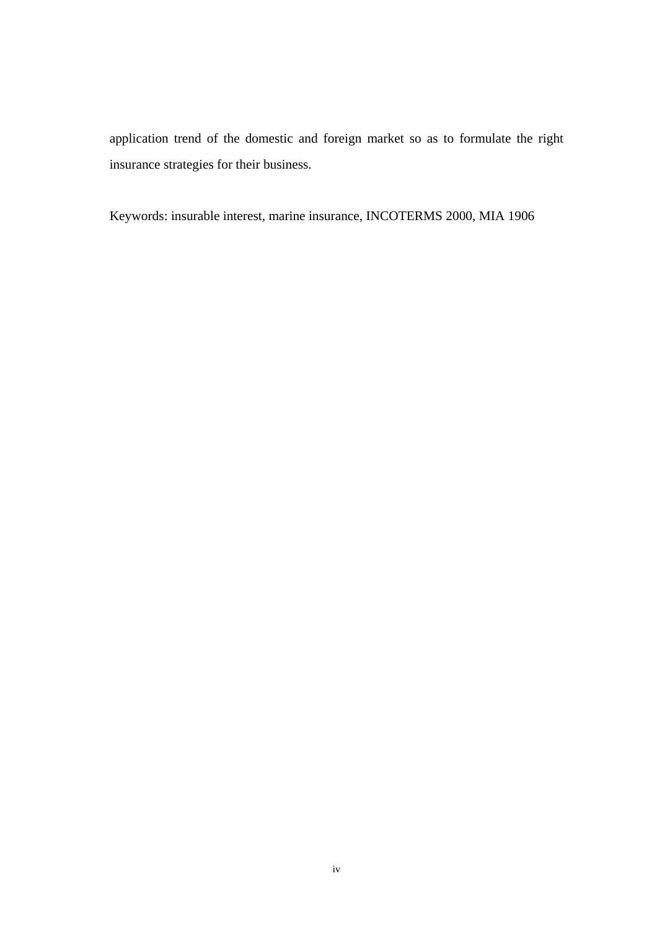application trend of the domestic and foreign market so as to formulate the right insurance strategies for their business.

Keywords: insurable interest, marine insurance, INCOTERMS 2000, MIA 1906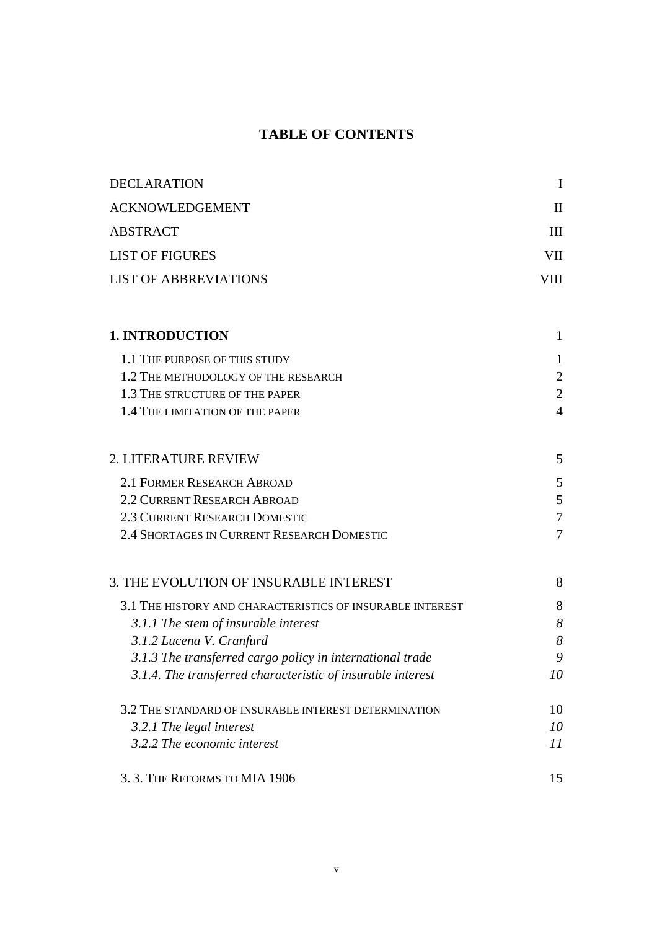## **TABLE OF CONTENTS**

| <b>DECLARATION</b>                                          | $\mathbf I$    |
|-------------------------------------------------------------|----------------|
| <b>ACKNOWLEDGEMENT</b>                                      | $\mathbf{I}$   |
| <b>ABSTRACT</b>                                             | III            |
| <b>LIST OF FIGURES</b>                                      | VII            |
| <b>LIST OF ABBREVIATIONS</b>                                | VIII           |
| <b>1. INTRODUCTION</b>                                      | $\mathbf{1}$   |
| 1.1 THE PURPOSE OF THIS STUDY                               | 1              |
| 1.2 THE METHODOLOGY OF THE RESEARCH                         | $\overline{2}$ |
| 1.3 THE STRUCTURE OF THE PAPER                              | $\overline{2}$ |
| 1.4 THE LIMITATION OF THE PAPER                             | $\overline{4}$ |
| 2. LITERATURE REVIEW                                        | 5              |
| 2.1 FORMER RESEARCH ABROAD                                  | 5              |
| <b>2.2 CURRENT RESEARCH ABROAD</b>                          | 5              |
| 2.3 CURRENT RESEARCH DOMESTIC                               | $\overline{7}$ |
| 2.4 SHORTAGES IN CURRENT RESEARCH DOMESTIC                  | $\overline{7}$ |
| 3. THE EVOLUTION OF INSURABLE INTEREST                      | 8              |
| 3.1 THE HISTORY AND CHARACTERISTICS OF INSURABLE INTEREST   | 8              |
| 3.1.1 The stem of insurable interest                        | 8              |
| 3.1.2 Lucena V. Cranfurd                                    | 8              |
| 3.1.3 The transferred cargo policy in international trade   | 9              |
| 3.1.4. The transferred characteristic of insurable interest | 10             |
| 3.2 THE STANDARD OF INSURABLE INTEREST DETERMINATION        | 10             |
| 3.2.1 The legal interest                                    | 10             |
| 3.2.2 The economic interest                                 | 11             |
| 3.3. THE REFORMS TO MIA 1906                                | 15             |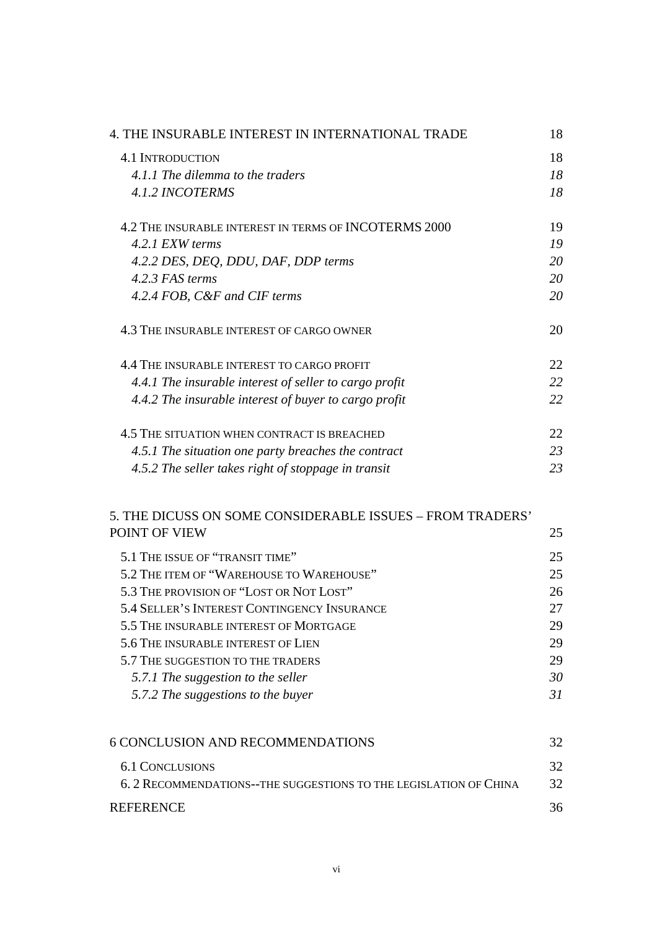| 4. THE INSURABLE INTEREST IN INTERNATIONAL TRADE       | 18 |
|--------------------------------------------------------|----|
| <b>4.1 INTRODUCTION</b>                                | 18 |
| 4.1.1 The dilemma to the traders                       | 18 |
| <b>4.1.2 INCOTERMS</b>                                 | 18 |
| 4.2 THE INSURABLE INTEREST IN TERMS OF INCOTERMS 2000  | 19 |
| 4.2.1 EXW terms                                        | 19 |
| 4.2.2 DES, DEQ, DDU, DAF, DDP terms                    | 20 |
| 4.2.3 FAS terms                                        | 20 |
| 4.2.4 FOB, C&F and CIF terms                           | 20 |
| 4.3 THE INSURABLE INTEREST OF CARGO OWNER              | 20 |
| 4.4 THE INSURABLE INTEREST TO CARGO PROFIT             | 22 |
| 4.4.1 The insurable interest of seller to cargo profit | 22 |
| 4.4.2 The insurable interest of buyer to cargo profit  | 22 |
| 4.5 THE SITUATION WHEN CONTRACT IS BREACHED            | 22 |
| 4.5.1 The situation one party breaches the contract    | 23 |
| 4.5.2 The seller takes right of stoppage in transit    | 23 |

### 5. THE DICUSS ON SOME CONSIDERABLE ISSUES – FROM TRADERS' POINT OF VIEW 25

| 5.1 THE ISSUE OF "TRANSIT TIME"                    | 25 |
|----------------------------------------------------|----|
| 5.2 THE ITEM OF "WAREHOUSE TO WAREHOUSE"           | 25 |
| 5.3 THE PROVISION OF "LOST OR NOT LOST"            | 26 |
| <b>5.4 SELLER'S INTEREST CONTINGENCY INSURANCE</b> | 27 |
| 5.5 THE INSURABLE INTEREST OF MORTGAGE             | 29 |
| 5.6 THE INSURABLE INTEREST OF LIEN                 | 29 |
| 5.7 THE SUGGESTION TO THE TRADERS                  | 29 |
| 5.7.1 The suggestion to the seller                 | 30 |
| 5.7.2 The suggestions to the buyer                 | 31 |
|                                                    |    |

| 6 CONCLUSION AND RECOMMENDATIONS                                  | 32. |
|-------------------------------------------------------------------|-----|
| 6.1 CONCLUSIONS                                                   | 32. |
| 6. 2 RECOMMENDATIONS--THE SUGGESTIONS TO THE LEGISLATION OF CHINA | 32. |
| <b>REFERENCE</b>                                                  | 36. |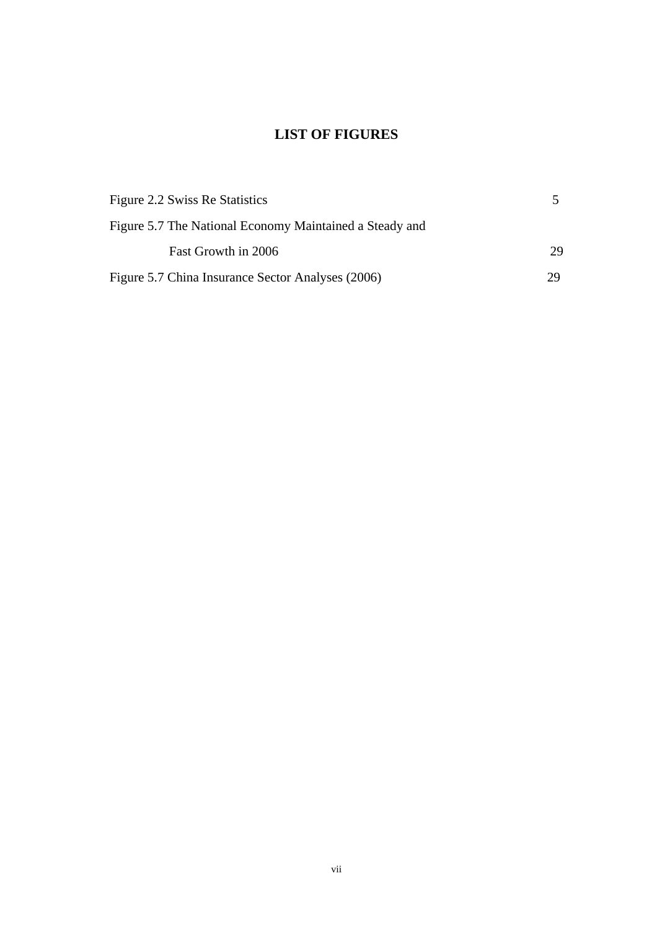## **LIST OF FIGURES**

| Figure 2.2 Swiss Re Statistics                          |    |
|---------------------------------------------------------|----|
| Figure 5.7 The National Economy Maintained a Steady and |    |
| Fast Growth in 2006                                     | 29 |
| Figure 5.7 China Insurance Sector Analyses (2006)       | 29 |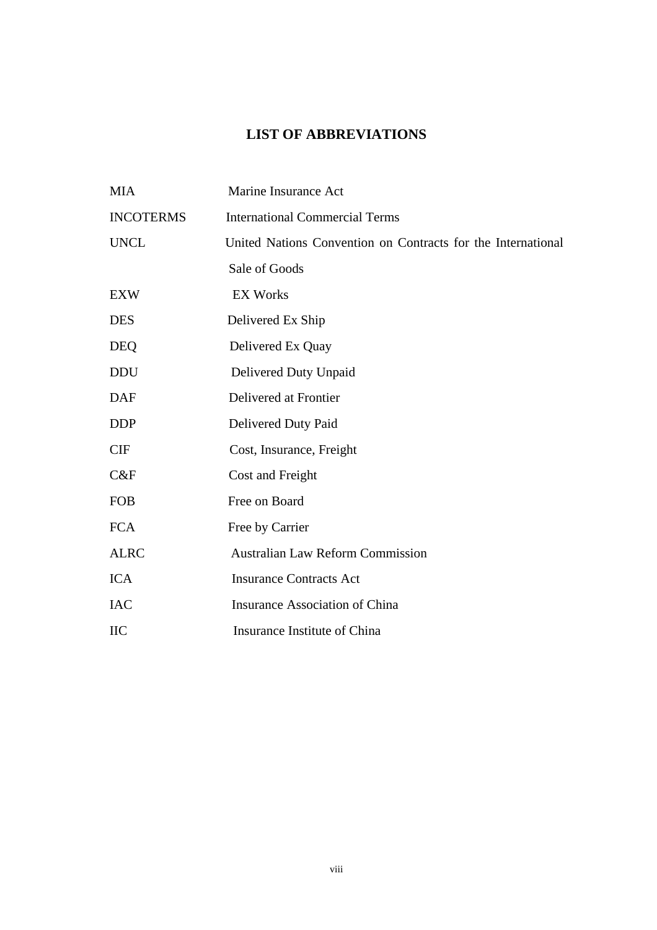## **LIST OF ABBREVIATIONS**

| <b>MIA</b>       | Marine Insurance Act                                         |
|------------------|--------------------------------------------------------------|
| <b>INCOTERMS</b> | <b>International Commercial Terms</b>                        |
| <b>UNCL</b>      | United Nations Convention on Contracts for the International |
|                  | Sale of Goods                                                |
| <b>EXW</b>       | <b>EX Works</b>                                              |
| <b>DES</b>       | Delivered Ex Ship                                            |
| <b>DEQ</b>       | Delivered Ex Quay                                            |
| <b>DDU</b>       | Delivered Duty Unpaid                                        |
| <b>DAF</b>       | Delivered at Frontier                                        |
| <b>DDP</b>       | Delivered Duty Paid                                          |
| <b>CIF</b>       | Cost, Insurance, Freight                                     |
| C&F              | Cost and Freight                                             |
| <b>FOB</b>       | Free on Board                                                |
| <b>FCA</b>       | Free by Carrier                                              |
| <b>ALRC</b>      | <b>Australian Law Reform Commission</b>                      |
| <b>ICA</b>       | <b>Insurance Contracts Act</b>                               |
| <b>IAC</b>       | <b>Insurance Association of China</b>                        |
| <b>IIC</b>       | Insurance Institute of China                                 |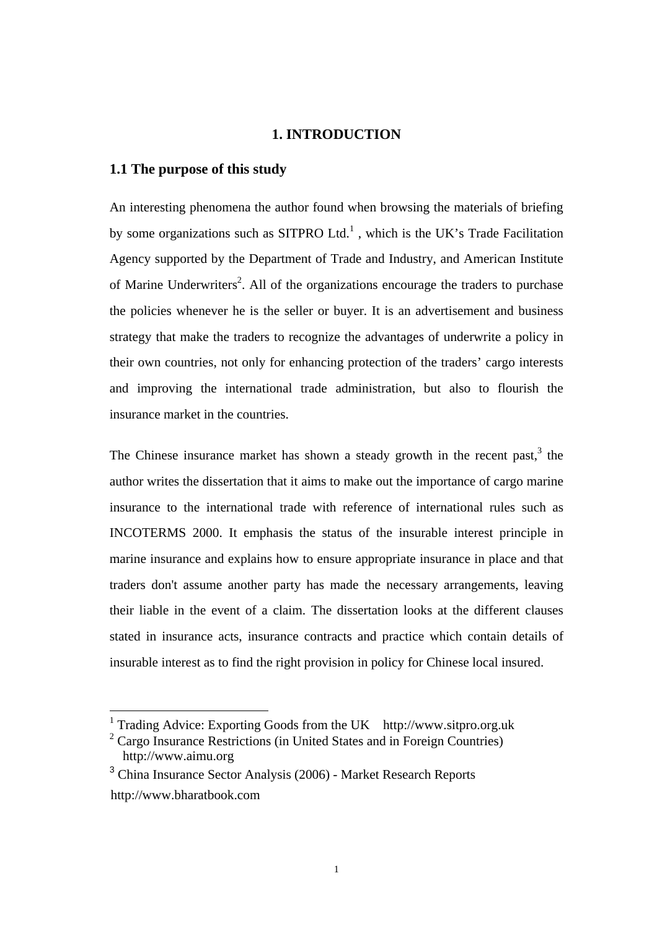#### **1. INTRODUCTION**

#### **1.1 The purpose of this study**

An interesting phenomena the author found when browsing the materials of briefing by some organizations such as SITPRO Ltd.<sup>1</sup>, which is the UK's Trade Facilitation Agency supported by the Department of Trade and Industry, and American Institute of Marine Underwriters<sup>2</sup>. All of the organizations encourage the traders to purchase the policies whenever he is the seller or buyer. It is an advertisement and business strategy that make the traders to recognize the advantages of underwrite a policy in their own countries, not only for enhancing protection of the traders' cargo interests and improving the international trade administration, but also to flourish the insurance market in the countries.

The Chinese insurance market has shown a steady growth in the recent past,  $3$  the author writes the dissertation that it aims to make out the importance of cargo marine insurance to the international trade with reference of international rules such as INCOTERMS 2000. It emphasis the status of the insurable interest principle in marine insurance and explains how to ensure appropriate insurance in place and that traders don't assume another party has made the necessary arrangements, leaving their liable in the event of a claim. The dissertation looks at the different clauses stated in insurance acts, insurance contracts and practice which contain details of insurable interest as to find the right provision in policy for Chinese local insured.

 <sup>1</sup> Trading Advice: Exporting Goods from the UK http://www.sitpro.org.uk

 $2^2$  Cargo Insurance Restrictions (in United States and in Foreign Countries) http://www.aimu.org

<sup>&</sup>lt;sup>3</sup> China Insurance Sector Analysis (2006) - Market Research Reports http://www.bharatbook.com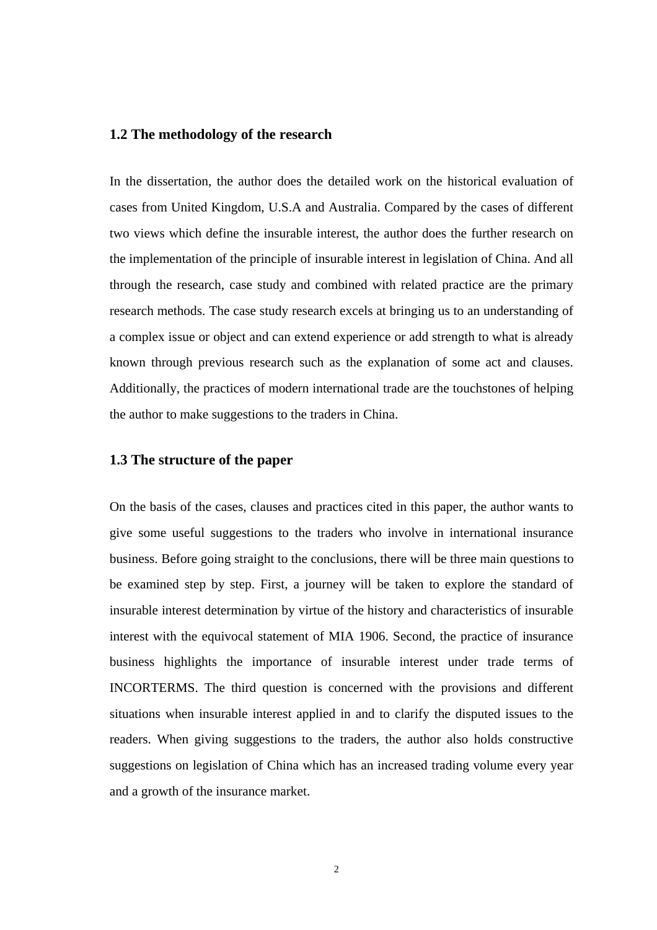#### **1.2 The methodology of the research**

In the dissertation, the author does the detailed work on the historical evaluation of cases from United Kingdom, U.S.A and Australia. Compared by the cases of different two views which define the insurable interest, the author does the further research on the implementation of the principle of insurable interest in legislation of China. And all through the research, case study and combined with related practice are the primary research methods. The case study research excels at bringing us to an understanding of a complex issue or object and can extend experience or add strength to what is already known through previous research such as the explanation of some act and clauses. Additionally, the practices of modern international trade are the touchstones of helping the author to make suggestions to the traders in China.

#### **1.3 The structure of the paper**

On the basis of the cases, clauses and practices cited in this paper, the author wants to give some useful suggestions to the traders who involve in international insurance business. Before going straight to the conclusions, there will be three main questions to be examined step by step. First, a journey will be taken to explore the standard of insurable interest determination by virtue of the history and characteristics of insurable interest with the equivocal statement of MIA 1906. Second, the practice of insurance business highlights the importance of insurable interest under trade terms of INCORTERMS. The third question is concerned with the provisions and different situations when insurable interest applied in and to clarify the disputed issues to the readers. When giving suggestions to the traders, the author also holds constructive suggestions on legislation of China which has an increased trading volume every year and a growth of the insurance market.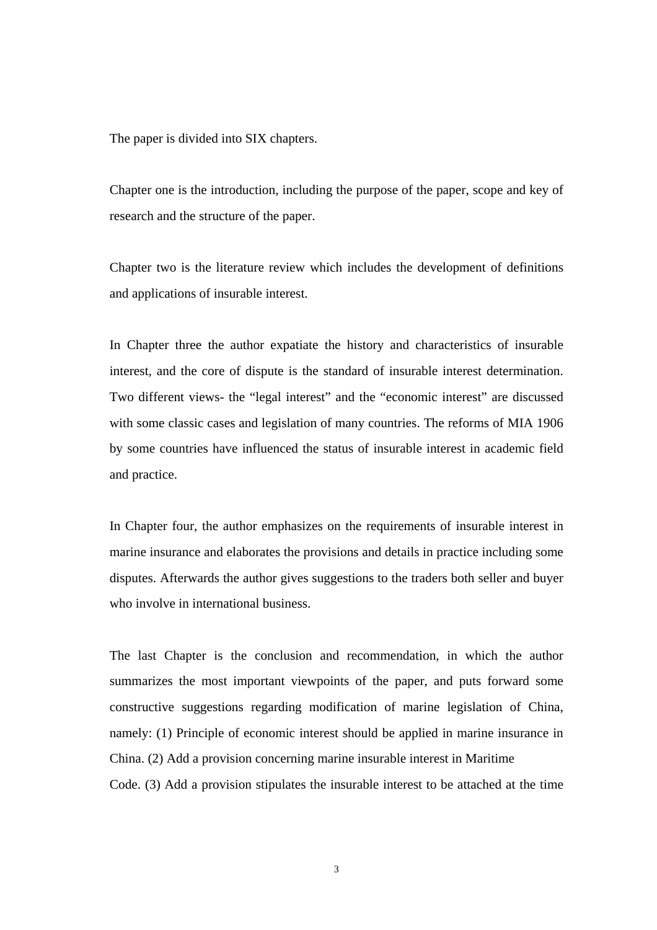The paper is divided into SIX chapters.

Chapter one is the introduction, including the purpose of the paper, scope and key of research and the structure of the paper.

Chapter two is the literature review which includes the development of definitions and applications of insurable interest.

In Chapter three the author expatiate the history and characteristics of insurable interest, and the core of dispute is the standard of insurable interest determination. Two different views- the "legal interest" and the "economic interest" are discussed with some classic cases and legislation of many countries. The reforms of MIA 1906 by some countries have influenced the status of insurable interest in academic field and practice.

In Chapter four, the author emphasizes on the requirements of insurable interest in marine insurance and elaborates the provisions and details in practice including some disputes. Afterwards the author gives suggestions to the traders both seller and buyer who involve in international business.

The last Chapter is the conclusion and recommendation, in which the author summarizes the most important viewpoints of the paper, and puts forward some constructive suggestions regarding modification of marine legislation of China, namely: (1) Principle of economic interest should be applied in marine insurance in China. (2) Add a provision concerning marine insurable interest in Maritime Code. (3) Add a provision stipulates the insurable interest to be attached at the time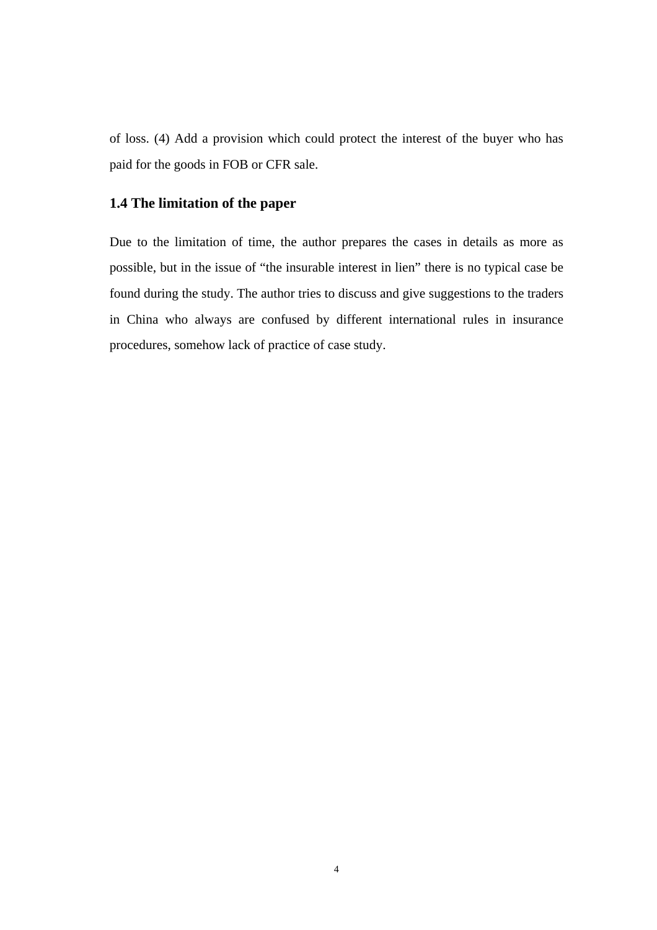of loss. (4) Add a provision which could protect the interest of the buyer who has paid for the goods in FOB or CFR sale.

### **1.4 The limitation of the paper**

Due to the limitation of time, the author prepares the cases in details as more as possible, but in the issue of "the insurable interest in lien" there is no typical case be found during the study. The author tries to discuss and give suggestions to the traders in China who always are confused by different international rules in insurance procedures, somehow lack of practice of case study.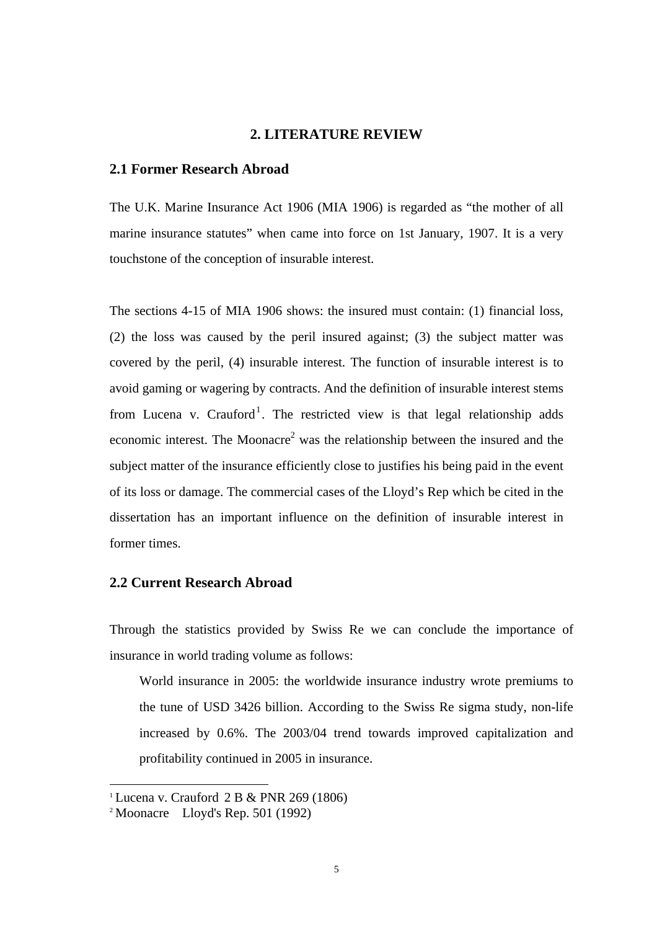#### **2. LITERATURE REVIEW**

#### **2.1 Former Research Abroad**

The U.K. Marine Insurance Act 1906 (MIA 1906) is regarded as "the mother of all marine insurance statutes" when came into force on 1st January, 1907. It is a very touchstone of the conception of insurable interest.

The sections 4-15 of MIA 1906 shows: the insured must contain: (1) financial loss, (2) the loss was caused by the peril insured against; (3) the subject matter was covered by the peril, (4) insurable interest. The function of insurable interest is to avoid gaming or wagering by contracts. And the definition of insurable interest stems from Lucena v. Crauford<sup>1</sup>. The restricted view is that legal relationship adds economic interest. The Moonacre<sup>2</sup> was the relationship between the insured and the subject matter of the insurance efficiently close to justifies his being paid in the event of its loss or damage. The commercial cases of the Lloyd's Rep which be cited in the dissertation has an important influence on the definition of insurable interest in former times.

#### **2.2 Current Research Abroad**

Through the statistics provided by Swiss Re we can conclude the importance of insurance in world trading volume as follows:

World insurance in 2005: the worldwide insurance industry wrote premiums to the tune of USD 3426 billion. According to the Swiss Re sigma study, non-life increased by 0.6%. The 2003/04 trend towards improved capitalization and profitability continued in 2005 in insurance.

<sup>&</sup>lt;sup>1</sup> Lucena v. Crauford 2 B & PNR 269 (1806)

<sup>2</sup> Moonacre Lloyd's Rep. 501 (1992)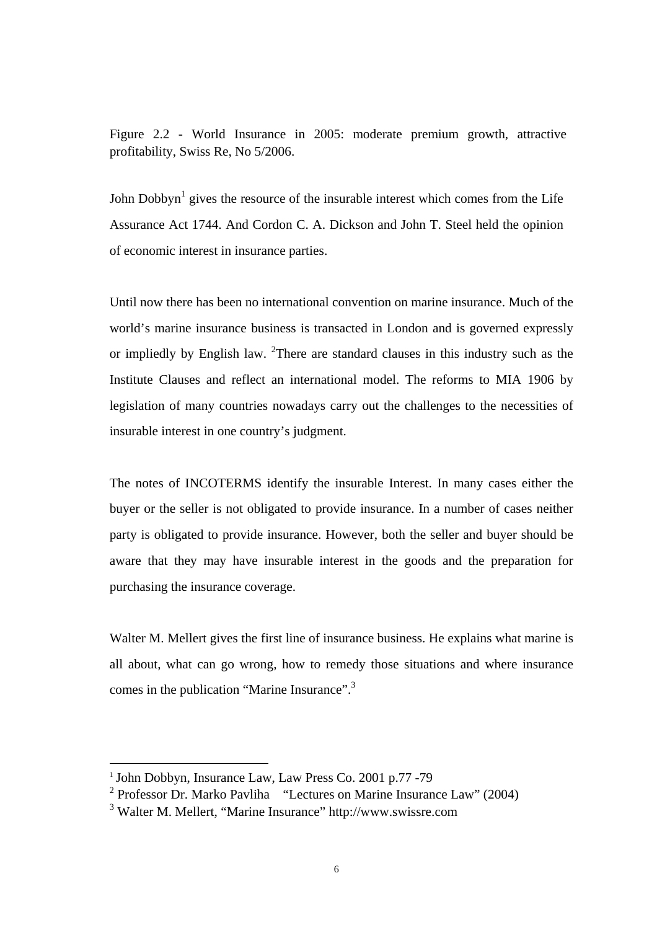Figure 2.2 - World Insurance in 2005: moderate premium growth, attractive profitability, Swiss Re, No 5/2006.

John Dobbyn<sup>1</sup> gives the resource of the insurable interest which comes from the Life Assurance Act 1744. And Cordon C. A. Dickson and John T. Steel held the opinion of economic interest in insurance parties.

Until now there has been no international convention on marine insurance. Much of the world's marine insurance business is transacted in London and is governed expressly or impliedly by English law.  $^{2}$ There are standard clauses in this industry such as the Institute Clauses and reflect an international model. The reforms to MIA 1906 by legislation of many countries nowadays carry out the challenges to the necessities of insurable interest in one country's judgment.

The notes of INCOTERMS identify the insurable Interest. In many cases either the buyer or the seller is not obligated to provide insurance. In a number of cases neither party is obligated to provide insurance. However, both the seller and buyer should be aware that they may have insurable interest in the goods and the preparation for purchasing the insurance coverage.

Walter M. Mellert gives the first line of insurance business. He explains what marine is all about, what can go wrong, how to remedy those situations and where insurance comes in the publication "Marine Insurance".3

 <sup>1</sup> John Dobbyn, Insurance Law, Law Press Co. 2001 p.77 -79

<sup>&</sup>lt;sup>2</sup> Professor Dr. Marko Pavliha "Lectures on Marine Insurance Law" (2004)

<sup>3</sup> Walter M. Mellert, "Marine Insurance" http://www.swissre.com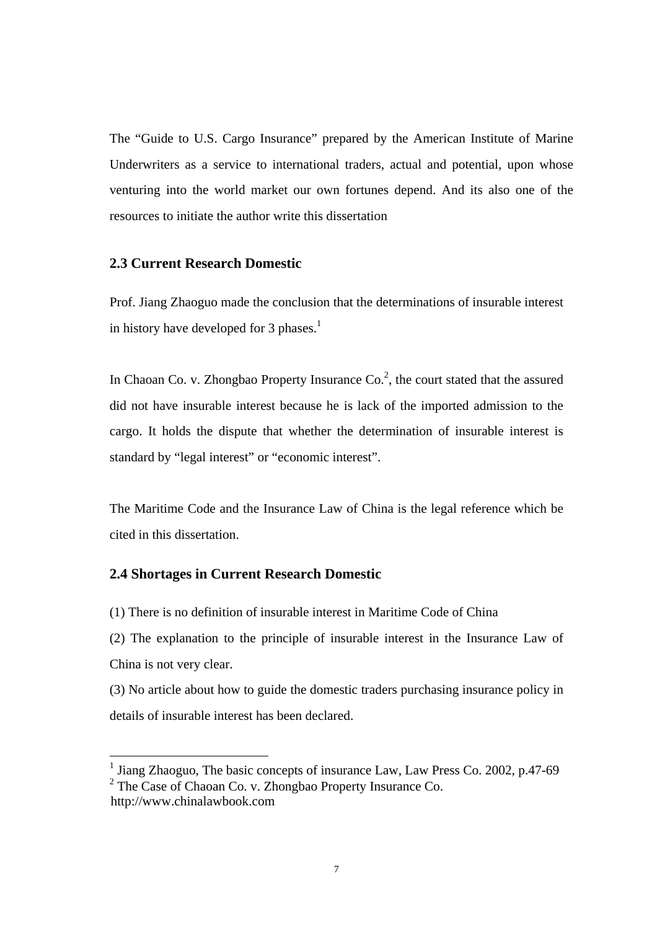The "Guide to U.S. Cargo Insurance" prepared by the American Institute of Marine Underwriters as a service to international traders, actual and potential, upon whose venturing into the world market our own fortunes depend. And its also one of the resources to initiate the author write this dissertation

#### **2.3 Current Research Domestic**

Prof. Jiang Zhaoguo made the conclusion that the determinations of insurable interest in history have developed for 3 phases.<sup>1</sup>

In Chaoan Co. v. Zhongbao Property Insurance  $Co<sup>2</sup>$ , the court stated that the assured did not have insurable interest because he is lack of the imported admission to the cargo. It holds the dispute that whether the determination of insurable interest is standard by "legal interest" or "economic interest".

The Maritime Code and the Insurance Law of China is the legal reference which be cited in this dissertation.

#### **2.4 Shortages in Current Research Domestic**

(1) There is no definition of insurable interest in Maritime Code of China

(2) The explanation to the principle of insurable interest in the Insurance Law of China is not very clear.

(3) No article about how to guide the domestic traders purchasing insurance policy in details of insurable interest has been declared.

<sup>&</sup>lt;sup>1</sup> Jiang Zhaoguo, The basic concepts of insurance Law, Law Press Co. 2002, p.47-69  $2$  The Case of Chaoan Co. v. Zhongbao Property Insurance Co. http://www.chinalawbook.com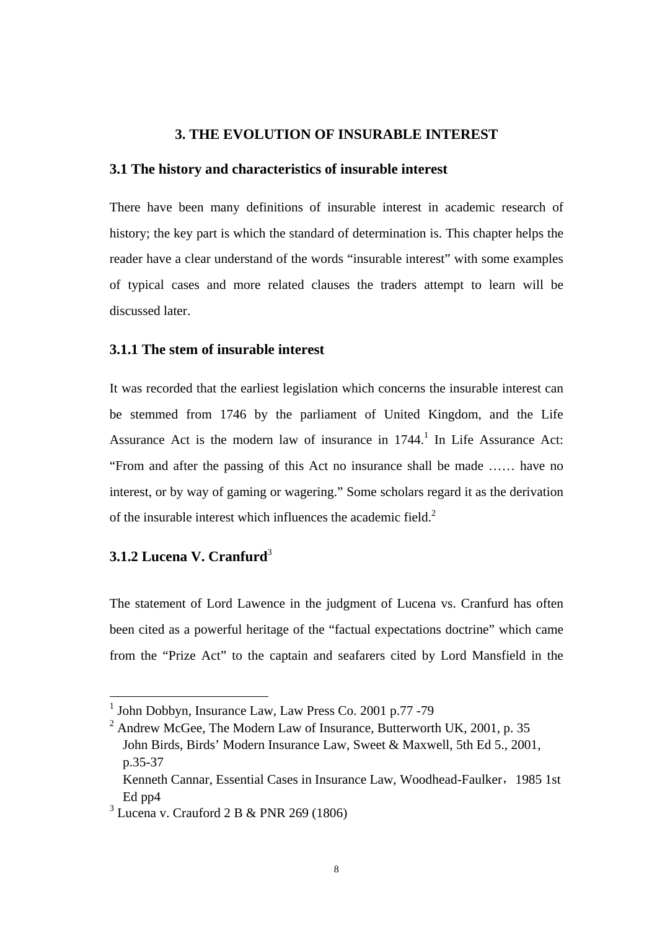#### **3. THE EVOLUTION OF INSURABLE INTEREST**

#### **3.1 The history and characteristics of insurable interest**

There have been many definitions of insurable interest in academic research of history; the key part is which the standard of determination is. This chapter helps the reader have a clear understand of the words "insurable interest" with some examples of typical cases and more related clauses the traders attempt to learn will be discussed later.

#### **3.1.1 The stem of insurable interest**

It was recorded that the earliest legislation which concerns the insurable interest can be stemmed from 1746 by the parliament of United Kingdom, and the Life Assurance Act is the modern law of insurance in  $1744$ .<sup>1</sup> In Life Assurance Act: "From and after the passing of this Act no insurance shall be made …… have no interest, or by way of gaming or wagering." Some scholars regard it as the derivation of the insurable interest which influences the academic field. $2$ 

## **3.1.2 Lucena V. Cranfurd**<sup>3</sup>

The statement of Lord Lawence in the judgment of Lucena vs. Cranfurd has often been cited as a powerful heritage of the "factual expectations doctrine" which came from the "Prize Act" to the captain and seafarers cited by Lord Mansfield in the

 <sup>1</sup> John Dobbyn, Insurance Law, Law Press Co. 2001 p.77 -79

<sup>&</sup>lt;sup>2</sup> Andrew McGee, The Modern Law of Insurance, Butterworth UK, 2001, p. 35 John Birds, Birds' Modern Insurance Law, Sweet & Maxwell, 5th Ed 5., 2001, p.35-37

Kenneth Cannar, Essential Cases in Insurance Law, Woodhead-Faulker, 1985 1st Ed pp4

<sup>3</sup> Lucena v. Crauford 2 B & PNR 269 (1806)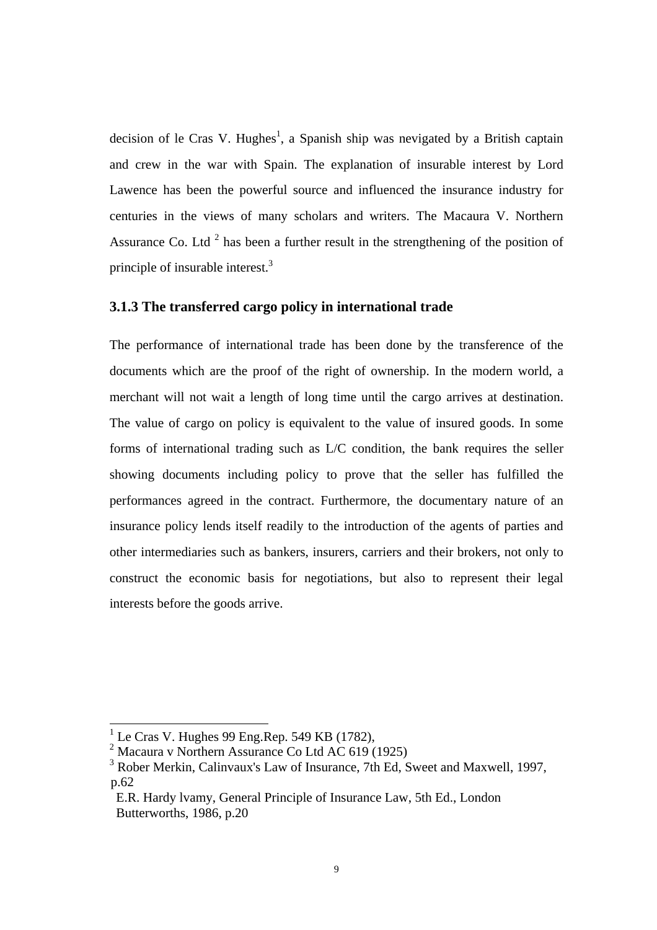decision of le Cras V. Hughes<sup>1</sup>, a Spanish ship was nevigated by a British captain and crew in the war with Spain. The explanation of insurable interest by Lord Lawence has been the powerful source and influenced the insurance industry for centuries in the views of many scholars and writers. The Macaura V. Northern Assurance Co. Ltd<sup>2</sup> has been a further result in the strengthening of the position of principle of insurable interest.<sup>3</sup>

#### **3.1.3 The transferred cargo policy in international trade**

The performance of international trade has been done by the transference of the documents which are the proof of the right of ownership. In the modern world, a merchant will not wait a length of long time until the cargo arrives at destination. The value of cargo on policy is equivalent to the value of insured goods. In some forms of international trading such as L/C condition, the bank requires the seller showing documents including policy to prove that the seller has fulfilled the performances agreed in the contract. Furthermore, the documentary nature of an insurance policy lends itself readily to the introduction of the agents of parties and other intermediaries such as bankers, insurers, carriers and their brokers, not only to construct the economic basis for negotiations, but also to represent their legal interests before the goods arrive.

<sup>&</sup>lt;sup>1</sup> Le Cras V. Hughes 99 Eng.Rep. 549 KB (1782),

<sup>2</sup> Macaura v Northern Assurance Co Ltd AC 619 (1925)

<sup>&</sup>lt;sup>3</sup> Rober Merkin, Calinvaux's Law of Insurance, 7th Ed, Sweet and Maxwell, 1997, p.62

E.R. Hardy lvamy, General Principle of Insurance Law, 5th Ed., London Butterworths, 1986, p.20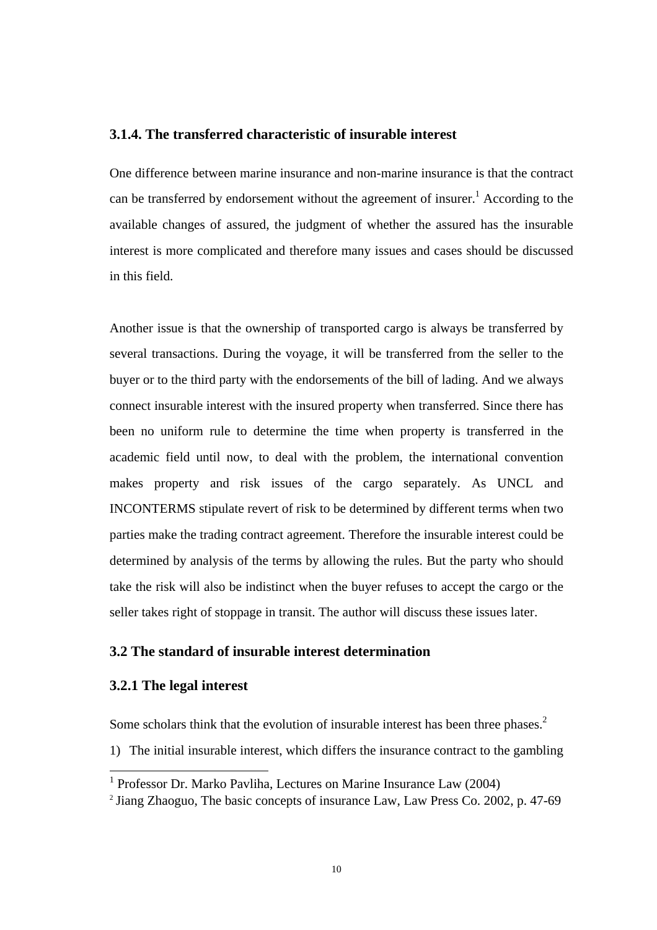#### **3.1.4. The transferred characteristic of insurable interest**

One difference between marine insurance and non-marine insurance is that the contract can be transferred by endorsement without the agreement of insurer.<sup>1</sup> According to the available changes of assured, the judgment of whether the assured has the insurable interest is more complicated and therefore many issues and cases should be discussed in this field.

Another issue is that the ownership of transported cargo is always be transferred by several transactions. During the voyage, it will be transferred from the seller to the buyer or to the third party with the endorsements of the bill of lading. And we always connect insurable interest with the insured property when transferred. Since there has been no uniform rule to determine the time when property is transferred in the academic field until now, to deal with the problem, the international convention makes property and risk issues of the cargo separately. As UNCL and INCONTERMS stipulate revert of risk to be determined by different terms when two parties make the trading contract agreement. Therefore the insurable interest could be determined by analysis of the terms by allowing the rules. But the party who should take the risk will also be indistinct when the buyer refuses to accept the cargo or the seller takes right of stoppage in transit. The author will discuss these issues later.

#### **3.2 The standard of insurable interest determination**

#### **3.2.1 The legal interest**

Some scholars think that the evolution of insurable interest has been three phases.<sup>2</sup>

1) The initial insurable interest, which differs the insurance contract to the gambling

<sup>&</sup>lt;sup>1</sup> Professor Dr. Marko Pavliha, Lectures on Marine Insurance Law (2004)

<sup>&</sup>lt;sup>2</sup> Jiang Zhaoguo, The basic concepts of insurance Law, Law Press Co. 2002, p. 47-69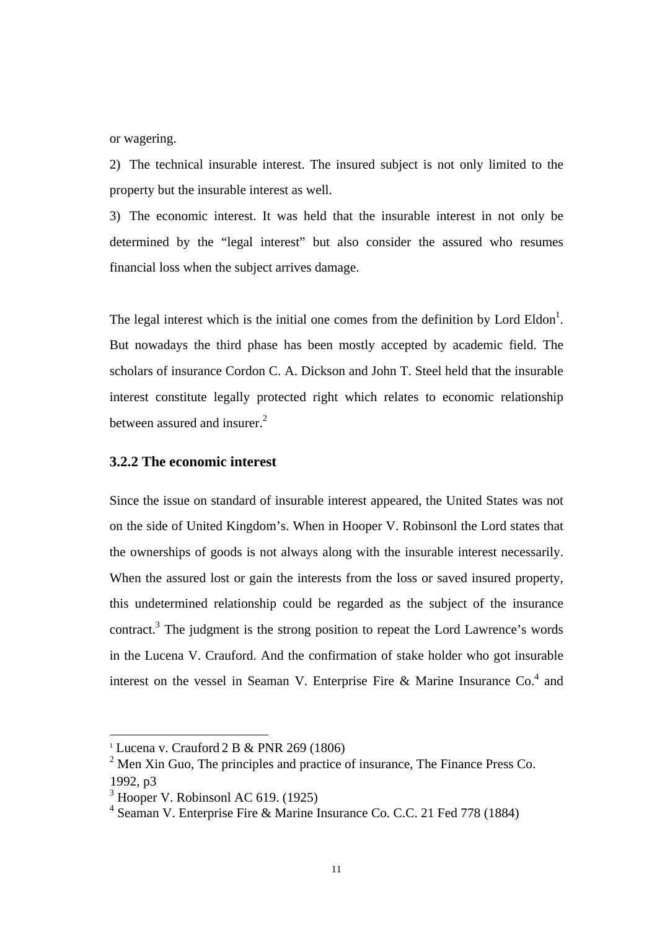or wagering.

2) The technical insurable interest. The insured subject is not only limited to the property but the insurable interest as well.

3) The economic interest. It was held that the insurable interest in not only be determined by the "legal interest" but also consider the assured who resumes financial loss when the subject arrives damage.

The legal interest which is the initial one comes from the definition by Lord Eldon<sup>1</sup>. But nowadays the third phase has been mostly accepted by academic field. The scholars of insurance Cordon C. A. Dickson and John T. Steel held that the insurable interest constitute legally protected right which relates to economic relationship between assured and insurer.<sup>2</sup>

#### **3.2.2 The economic interest**

Since the issue on standard of insurable interest appeared, the United States was not on the side of United Kingdom's. When in Hooper V. Robinsonl the Lord states that the ownerships of goods is not always along with the insurable interest necessarily. When the assured lost or gain the interests from the loss or saved insured property, this undetermined relationship could be regarded as the subject of the insurance contract.<sup>3</sup> The judgment is the strong position to repeat the Lord Lawrence's words in the Lucena V. Crauford. And the confirmation of stake holder who got insurable interest on the vessel in Seaman V. Enterprise Fire & Marine Insurance  $Co<sup>4</sup>$  and

 $\overline{1}$ <sup>1</sup> Lucena v. Crauford 2 B & PNR 269 (1806)

 $2$  Men Xin Guo, The principles and practice of insurance, The Finance Press Co. 1992, p3

 $3$  Hooper V. Robinsonl AC 619. (1925)

<sup>4</sup> Seaman V. Enterprise Fire & Marine Insurance Co. C.C. 21 Fed 778 (1884)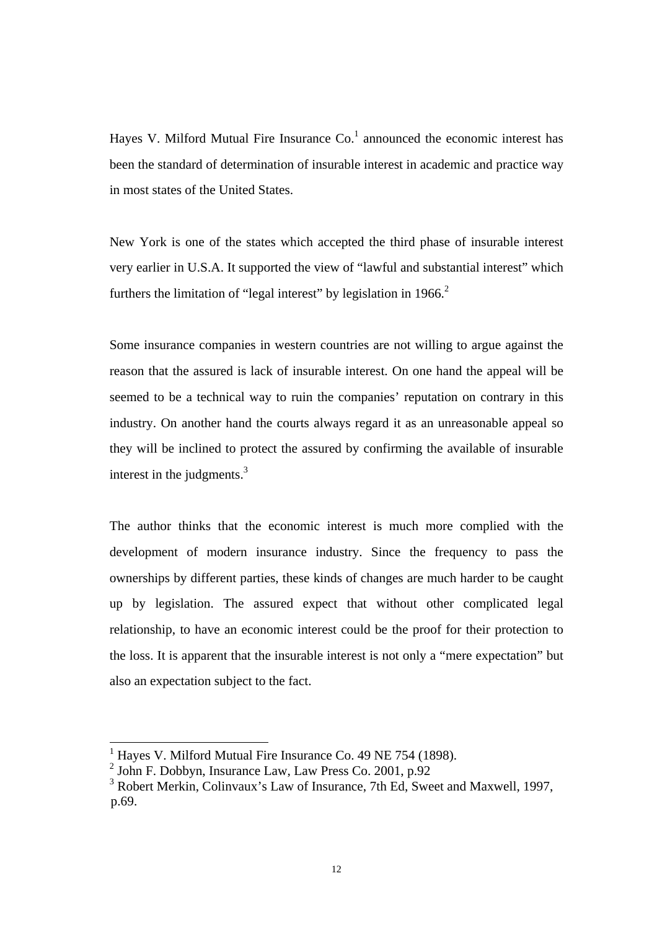Hayes V. Milford Mutual Fire Insurance  $Co<sup>1</sup>$  announced the economic interest has been the standard of determination of insurable interest in academic and practice way in most states of the United States.

New York is one of the states which accepted the third phase of insurable interest very earlier in U.S.A. It supported the view of "lawful and substantial interest" which furthers the limitation of "legal interest" by legislation in 1966.<sup>2</sup>

Some insurance companies in western countries are not willing to argue against the reason that the assured is lack of insurable interest. On one hand the appeal will be seemed to be a technical way to ruin the companies' reputation on contrary in this industry. On another hand the courts always regard it as an unreasonable appeal so they will be inclined to protect the assured by confirming the available of insurable interest in the judgments. $3$ 

The author thinks that the economic interest is much more complied with the development of modern insurance industry. Since the frequency to pass the ownerships by different parties, these kinds of changes are much harder to be caught up by legislation. The assured expect that without other complicated legal relationship, to have an economic interest could be the proof for their protection to the loss. It is apparent that the insurable interest is not only a "mere expectation" but also an expectation subject to the fact.

 <sup>1</sup> Hayes V. Milford Mutual Fire Insurance Co. 49 NE 754 (1898).

<sup>2</sup> John F. Dobbyn, Insurance Law, Law Press Co. 2001, p.92

<sup>&</sup>lt;sup>3</sup> Robert Merkin, Colinvaux's Law of Insurance, 7th Ed, Sweet and Maxwell, 1997, p.69.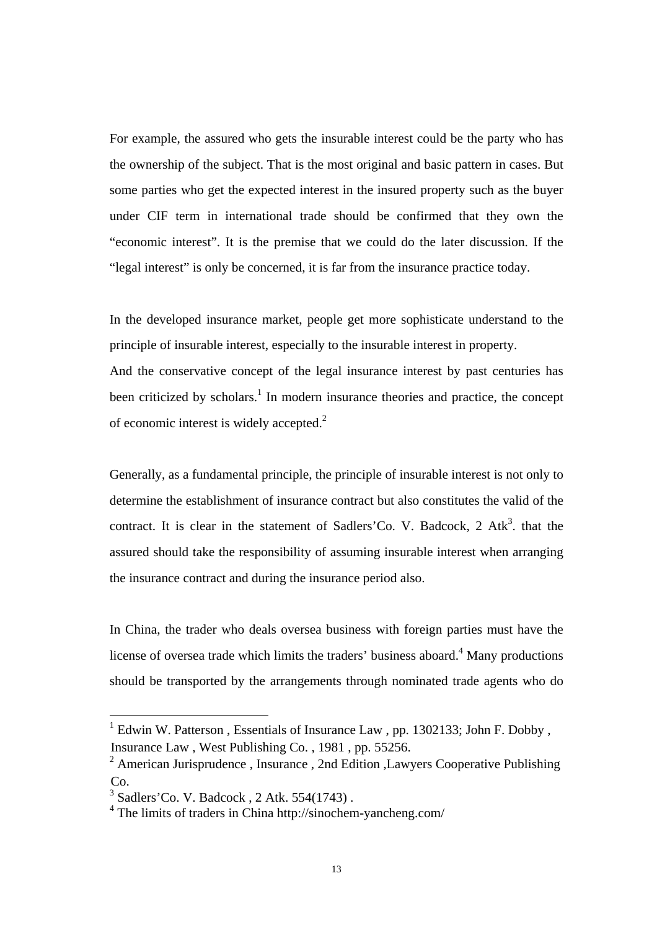For example, the assured who gets the insurable interest could be the party who has the ownership of the subject. That is the most original and basic pattern in cases. But some parties who get the expected interest in the insured property such as the buyer under CIF term in international trade should be confirmed that they own the "economic interest". It is the premise that we could do the later discussion. If the "legal interest" is only be concerned, it is far from the insurance practice today.

In the developed insurance market, people get more sophisticate understand to the principle of insurable interest, especially to the insurable interest in property.

And the conservative concept of the legal insurance interest by past centuries has been criticized by scholars.<sup>1</sup> In modern insurance theories and practice, the concept of economic interest is widely accepted.<sup>2</sup>

Generally, as a fundamental principle, the principle of insurable interest is not only to determine the establishment of insurance contract but also constitutes the valid of the contract. It is clear in the statement of Sadlers'Co. V. Badcock, 2 Atk<sup>3</sup>. that the assured should take the responsibility of assuming insurable interest when arranging the insurance contract and during the insurance period also.

In China, the trader who deals oversea business with foreign parties must have the license of oversea trade which limits the traders' business aboard.<sup>4</sup> Many productions should be transported by the arrangements through nominated trade agents who do

<sup>&</sup>lt;sup>1</sup> Edwin W. Patterson, Essentials of Insurance Law, pp. 1302133; John F. Dobby, Insurance Law , West Publishing Co. , 1981 , pp. 55256.

<sup>&</sup>lt;sup>2</sup> American Jurisprudence, Insurance, 2nd Edition, Lawyers Cooperative Publishing Co.

<sup>3</sup> Sadlers'Co. V. Badcock , 2 Atk. 554(1743) .

<sup>4</sup> The limits of traders in China http://sinochem-yancheng.com/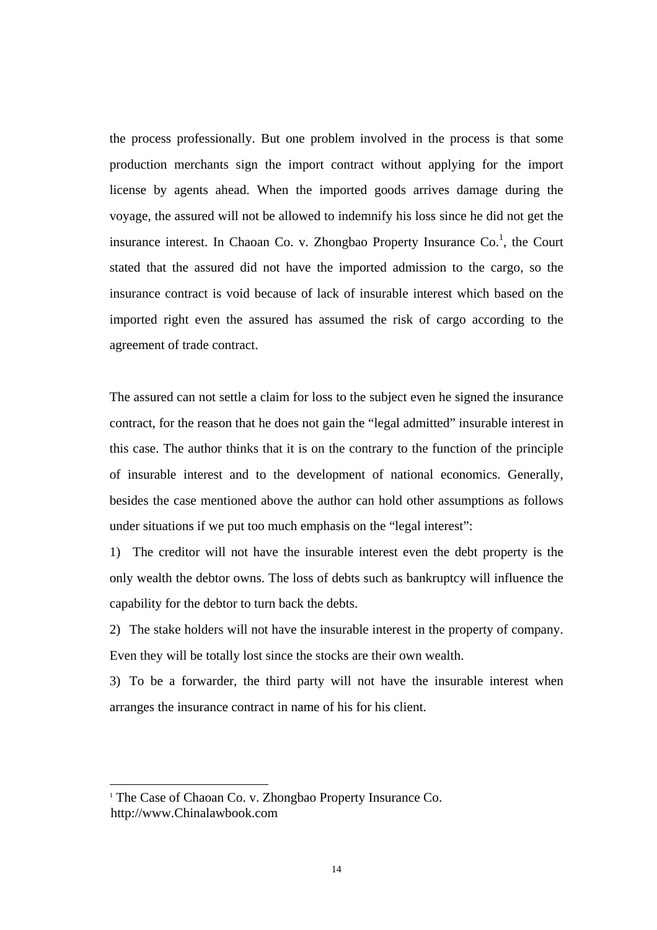the process professionally. But one problem involved in the process is that some production merchants sign the import contract without applying for the import license by agents ahead. When the imported goods arrives damage during the voyage, the assured will not be allowed to indemnify his loss since he did not get the insurance interest. In Chaoan Co. v. Zhongbao Property Insurance Co.<sup>1</sup>, the Court stated that the assured did not have the imported admission to the cargo, so the insurance contract is void because of lack of insurable interest which based on the imported right even the assured has assumed the risk of cargo according to the agreement of trade contract.

The assured can not settle a claim for loss to the subject even he signed the insurance contract, for the reason that he does not gain the "legal admitted" insurable interest in this case. The author thinks that it is on the contrary to the function of the principle of insurable interest and to the development of national economics. Generally, besides the case mentioned above the author can hold other assumptions as follows under situations if we put too much emphasis on the "legal interest":

1) The creditor will not have the insurable interest even the debt property is the only wealth the debtor owns. The loss of debts such as bankruptcy will influence the capability for the debtor to turn back the debts.

2) The stake holders will not have the insurable interest in the property of company. Even they will be totally lost since the stocks are their own wealth.

3) To be a forwarder, the third party will not have the insurable interest when arranges the insurance contract in name of his for his client.

 $\overline{1}$ <sup>1</sup> The Case of Chaoan Co. v. Zhongbao Property Insurance Co. http://www.Chinalawbook.com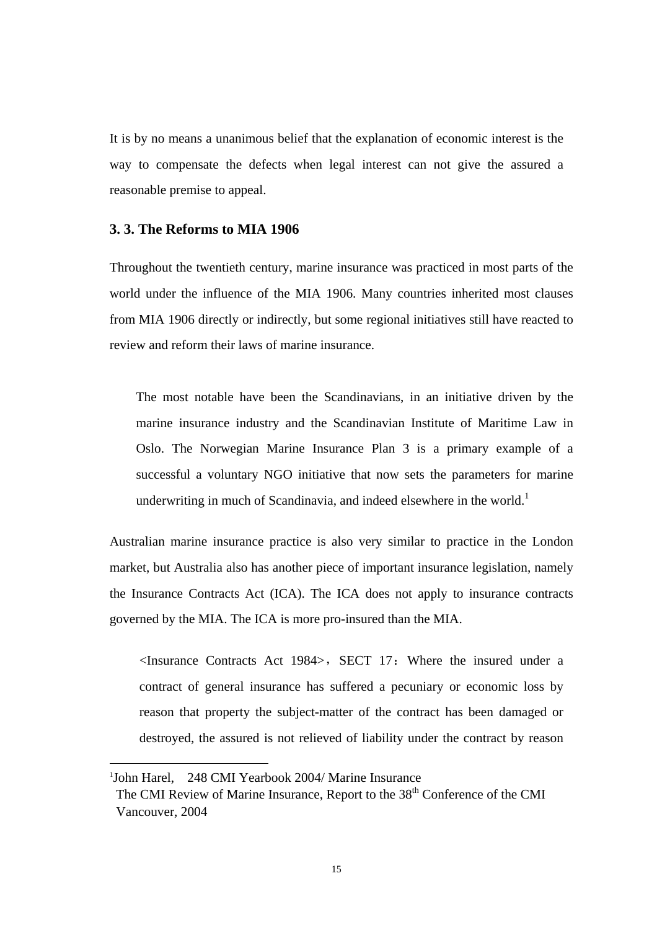It is by no means a unanimous belief that the explanation of economic interest is the way to compensate the defects when legal interest can not give the assured a reasonable premise to appeal.

### **3. 3. The Reforms to MIA 1906**

Throughout the twentieth century, marine insurance was practiced in most parts of the world under the influence of the MIA 1906. Many countries inherited most clauses from MIA 1906 directly or indirectly, but some regional initiatives still have reacted to review and reform their laws of marine insurance.

The most notable have been the Scandinavians, in an initiative driven by the marine insurance industry and the Scandinavian Institute of Maritime Law in Oslo. The Norwegian Marine Insurance Plan 3 is a primary example of a successful a voluntary NGO initiative that now sets the parameters for marine underwriting in much of Scandinavia, and indeed elsewhere in the world.<sup>1</sup>

Australian marine insurance practice is also very similar to practice in the London market, but Australia also has another piece of important insurance legislation, namely the Insurance Contracts Act (ICA). The ICA does not apply to insurance contracts governed by the MIA. The ICA is more pro-insured than the MIA.

 $\leq$ Insurance Contracts Act 1984>, SECT 17: Where the insured under a contract of general insurance has suffered a pecuniary or economic loss by reason that property the subject-matter of the contract has been damaged or destroyed, the assured is not relieved of liability under the contract by reason

<sup>|&</sup>lt;br>|<br>| <sup>1</sup>John Harel, 248 CMI Yearbook 2004/ Marine Insurance

The CMI Review of Marine Insurance, Report to the 38<sup>th</sup> Conference of the CMI Vancouver, 2004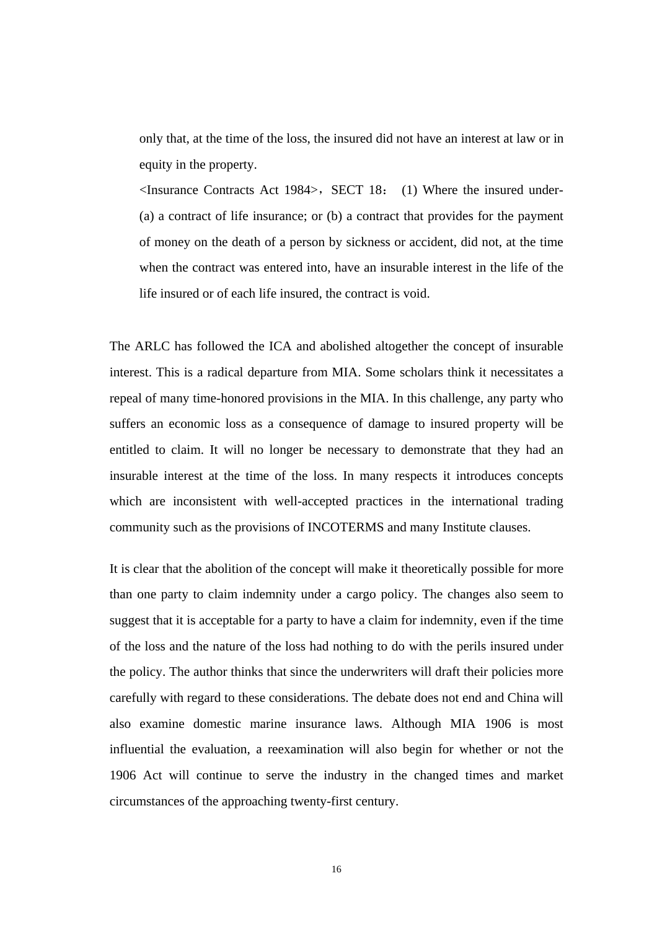only that, at the time of the loss, the insured did not have an interest at law or in equity in the property.

 $\leq$ Insurance Contracts Act 1984>, SECT 18: (1) Where the insured under-(a) a contract of life insurance; or (b) a contract that provides for the payment of money on the death of a person by sickness or accident, did not, at the time when the contract was entered into, have an insurable interest in the life of the life insured or of each life insured, the contract is void.

The ARLC has followed the ICA and abolished altogether the concept of insurable interest. This is a radical departure from MIA. Some scholars think it necessitates a repeal of many time-honored provisions in the MIA. In this challenge, any party who suffers an economic loss as a consequence of damage to insured property will be entitled to claim. It will no longer be necessary to demonstrate that they had an insurable interest at the time of the loss. In many respects it introduces concepts which are inconsistent with well-accepted practices in the international trading community such as the provisions of INCOTERMS and many Institute clauses.

It is clear that the abolition of the concept will make it theoretically possible for more than one party to claim indemnity under a cargo policy. The changes also seem to suggest that it is acceptable for a party to have a claim for indemnity, even if the time of the loss and the nature of the loss had nothing to do with the perils insured under the policy. The author thinks that since the underwriters will draft their policies more carefully with regard to these considerations. The debate does not end and China will also examine domestic marine insurance laws. Although MIA 1906 is most influential the evaluation, a reexamination will also begin for whether or not the 1906 Act will continue to serve the industry in the changed times and market circumstances of the approaching twenty-first century.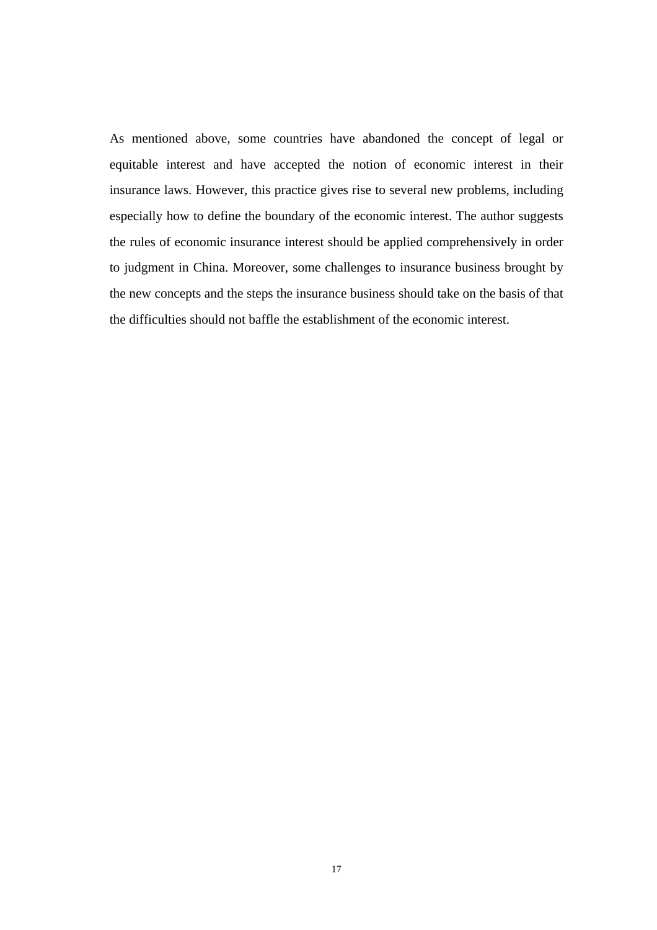As mentioned above, some countries have abandoned the concept of legal or equitable interest and have accepted the notion of economic interest in their insurance laws. However, this practice gives rise to several new problems, including especially how to define the boundary of the economic interest. The author suggests the rules of economic insurance interest should be applied comprehensively in order to judgment in China. Moreover, some challenges to insurance business brought by the new concepts and the steps the insurance business should take on the basis of that the difficulties should not baffle the establishment of the economic interest.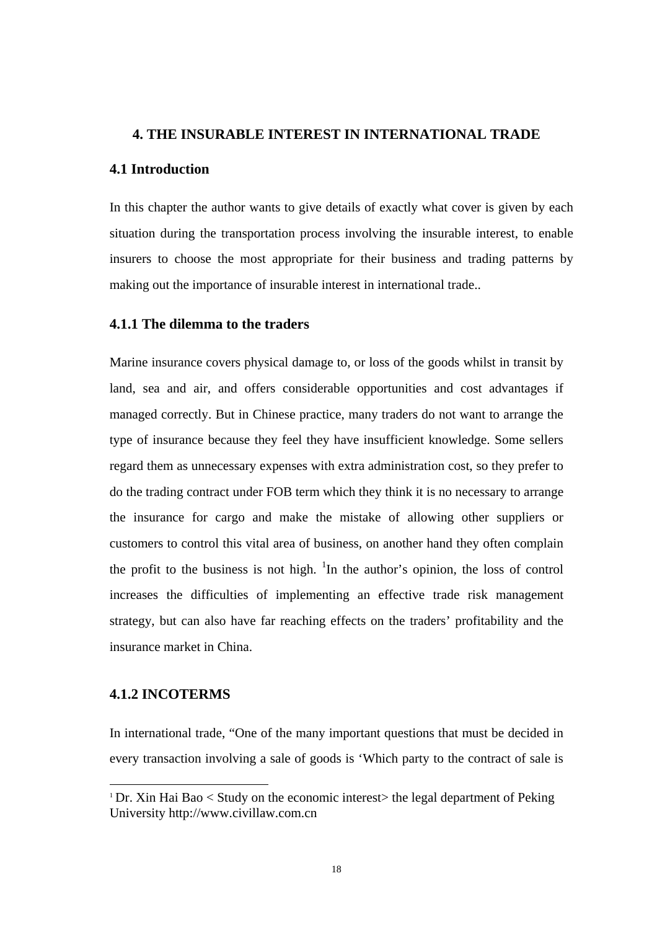#### **4. THE INSURABLE INTEREST IN INTERNATIONAL TRADE**

#### **4.1 Introduction**

In this chapter the author wants to give details of exactly what cover is given by each situation during the transportation process involving the insurable interest, to enable insurers to choose the most appropriate for their business and trading patterns by making out the importance of insurable interest in international trade..

#### **4.1.1 The dilemma to the traders**

Marine insurance covers physical damage to, or loss of the goods whilst in transit by land, sea and air, and offers considerable opportunities and cost advantages if managed correctly. But in Chinese practice, many traders do not want to arrange the type of insurance because they feel they have insufficient knowledge. Some sellers regard them as unnecessary expenses with extra administration cost, so they prefer to do the trading contract under FOB term which they think it is no necessary to arrange the insurance for cargo and make the mistake of allowing other suppliers or customers to control this vital area of business, on another hand they often complain the profit to the business is not high.  $\textsuperscript{1}$ In the author's opinion, the loss of control increases the difficulties of implementing an effective trade risk management strategy, but can also have far reaching effects on the traders' profitability and the insurance market in China.

#### **4.1.2 INCOTERMS**

In international trade, "One of the many important questions that must be decided in every transaction involving a sale of goods is 'Which party to the contract of sale is

<sup>&</sup>lt;sup>1</sup> Dr. Xin Hai Bao < Study on the economic interest> the legal department of Peking University http://www.civillaw.com.cn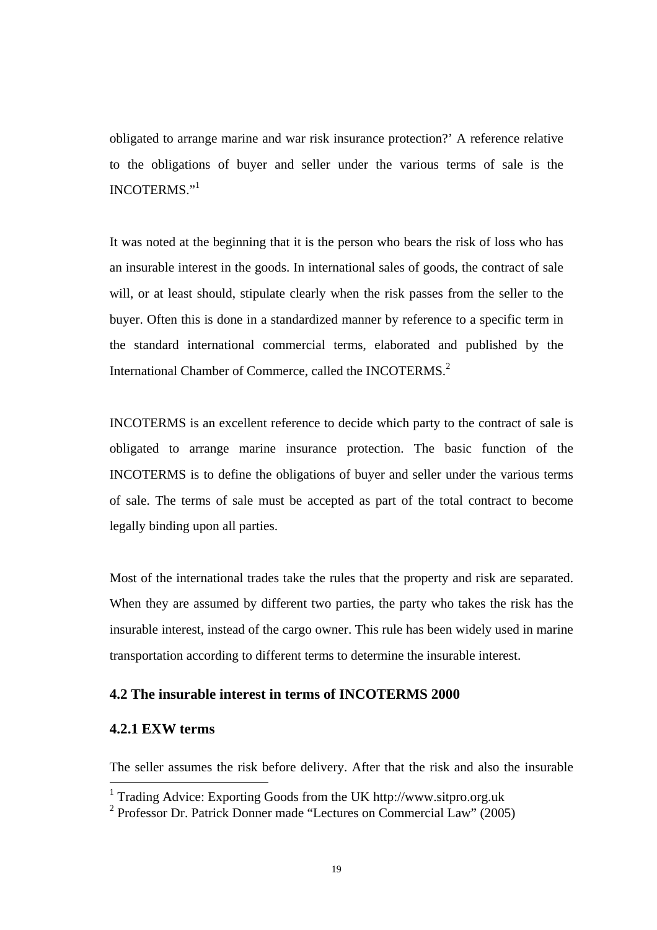obligated to arrange marine and war risk insurance protection?' A reference relative to the obligations of buyer and seller under the various terms of sale is the INCOTERMS."<sup>1</sup>

It was noted at the beginning that it is the person who bears the risk of loss who has an insurable interest in the goods. In international sales of goods, the contract of sale will, or at least should, stipulate clearly when the risk passes from the seller to the buyer. Often this is done in a standardized manner by reference to a specific term in the standard international commercial terms, elaborated and published by the International Chamber of Commerce, called the INCOTERMS.<sup>2</sup>

INCOTERMS is an excellent reference to decide which party to the contract of sale is obligated to arrange marine insurance protection. The basic function of the INCOTERMS is to define the obligations of buyer and seller under the various terms of sale. The terms of sale must be accepted as part of the total contract to become legally binding upon all parties.

Most of the international trades take the rules that the property and risk are separated. When they are assumed by different two parties, the party who takes the risk has the insurable interest, instead of the cargo owner. This rule has been widely used in marine transportation according to different terms to determine the insurable interest.

#### **4.2 The insurable interest in terms of INCOTERMS 2000**

#### **4.2.1 EXW terms**

The seller assumes the risk before delivery. After that the risk and also the insurable

 <sup>1</sup> Trading Advice: Exporting Goods from the UK http://www.sitpro.org.uk

<sup>2</sup> Professor Dr. Patrick Donner made "Lectures on Commercial Law" (2005)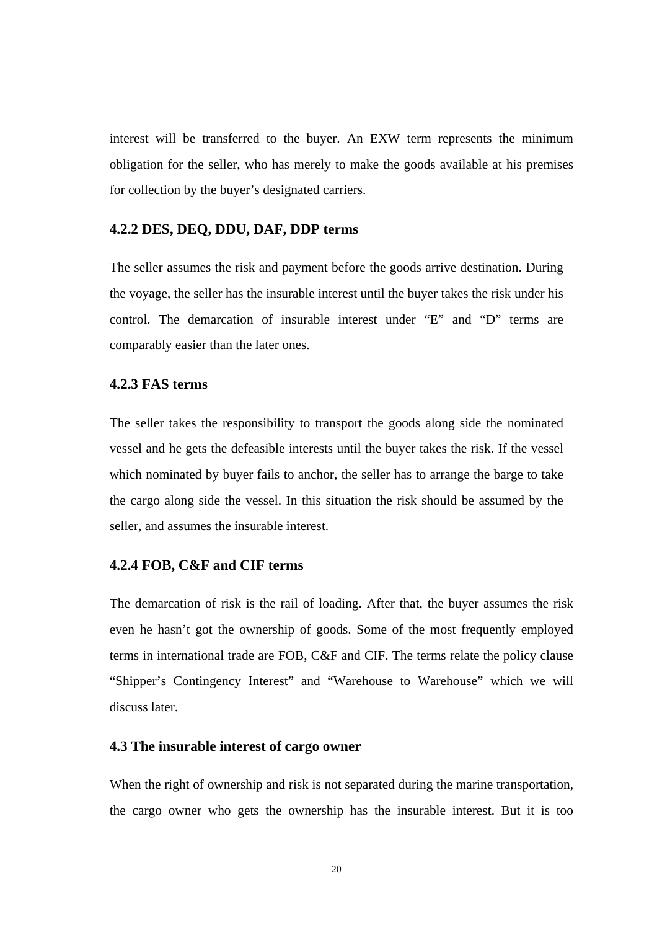interest will be transferred to the buyer. An EXW term represents the minimum obligation for the seller, who has merely to make the goods available at his premises for collection by the buyer's designated carriers.

#### **4.2.2 DES, DEQ, DDU, DAF, DDP terms**

The seller assumes the risk and payment before the goods arrive destination. During the voyage, the seller has the insurable interest until the buyer takes the risk under his control. The demarcation of insurable interest under "E" and "D" terms are comparably easier than the later ones.

#### **4.2.3 FAS terms**

The seller takes the responsibility to transport the goods along side the nominated vessel and he gets the defeasible interests until the buyer takes the risk. If the vessel which nominated by buyer fails to anchor, the seller has to arrange the barge to take the cargo along side the vessel. In this situation the risk should be assumed by the seller, and assumes the insurable interest.

#### **4.2.4 FOB, C&F and CIF terms**

The demarcation of risk is the rail of loading. After that, the buyer assumes the risk even he hasn't got the ownership of goods. Some of the most frequently employed terms in international trade are FOB, C&F and CIF. The terms relate the policy clause "Shipper's Contingency Interest" and "Warehouse to Warehouse" which we will discuss later.

#### **4.3 The insurable interest of cargo owner**

When the right of ownership and risk is not separated during the marine transportation, the cargo owner who gets the ownership has the insurable interest. But it is too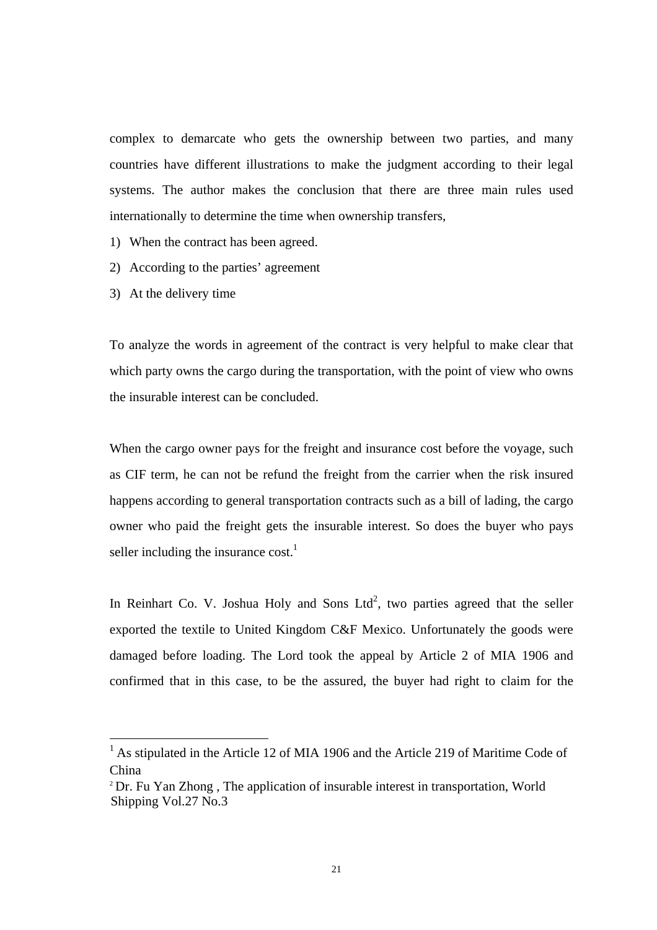complex to demarcate who gets the ownership between two parties, and many countries have different illustrations to make the judgment according to their legal systems. The author makes the conclusion that there are three main rules used internationally to determine the time when ownership transfers,

- 1) When the contract has been agreed.
- 2) According to the parties' agreement
- 3) At the delivery time

To analyze the words in agreement of the contract is very helpful to make clear that which party owns the cargo during the transportation, with the point of view who owns the insurable interest can be concluded.

When the cargo owner pays for the freight and insurance cost before the voyage, such as CIF term, he can not be refund the freight from the carrier when the risk insured happens according to general transportation contracts such as a bill of lading, the cargo owner who paid the freight gets the insurable interest. So does the buyer who pays seller including the insurance cost.<sup>1</sup>

In Reinhart Co. V. Joshua Holy and Sons Ltd<sup>2</sup>, two parties agreed that the seller exported the textile to United Kingdom C&F Mexico. Unfortunately the goods were damaged before loading. The Lord took the appeal by Article 2 of MIA 1906 and confirmed that in this case, to be the assured, the buyer had right to claim for the

<sup>&</sup>lt;sup>1</sup> As stipulated in the Article 12 of MIA 1906 and the Article 219 of Maritime Code of China

<sup>&</sup>lt;sup>2</sup> Dr. Fu Yan Zhong, The application of insurable interest in transportation, World Shipping Vol.27 No.3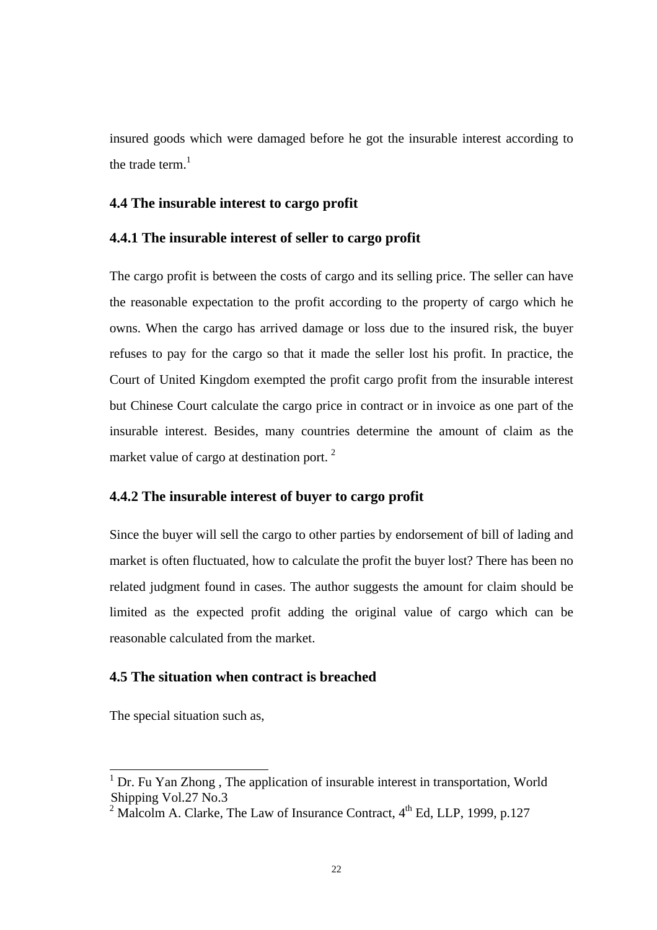insured goods which were damaged before he got the insurable interest according to the trade term. $<sup>1</sup>$ </sup>

#### **4.4 The insurable interest to cargo profit**

#### **4.4.1 The insurable interest of seller to cargo profit**

The cargo profit is between the costs of cargo and its selling price. The seller can have the reasonable expectation to the profit according to the property of cargo which he owns. When the cargo has arrived damage or loss due to the insured risk, the buyer refuses to pay for the cargo so that it made the seller lost his profit. In practice, the Court of United Kingdom exempted the profit cargo profit from the insurable interest but Chinese Court calculate the cargo price in contract or in invoice as one part of the insurable interest. Besides, many countries determine the amount of claim as the market value of cargo at destination port.<sup>2</sup>

#### **4.4.2 The insurable interest of buyer to cargo profit**

Since the buyer will sell the cargo to other parties by endorsement of bill of lading and market is often fluctuated, how to calculate the profit the buyer lost? There has been no related judgment found in cases. The author suggests the amount for claim should be limited as the expected profit adding the original value of cargo which can be reasonable calculated from the market.

#### **4.5 The situation when contract is breached**

The special situation such as,

<sup>&</sup>lt;sup>1</sup> Dr. Fu Yan Zhong, The application of insurable interest in transportation, World Shipping Vol.27 No.3

<sup>2</sup> Malcolm A. Clarke, The Law of Insurance Contract,  $4<sup>th</sup>$  Ed, LLP, 1999, p.127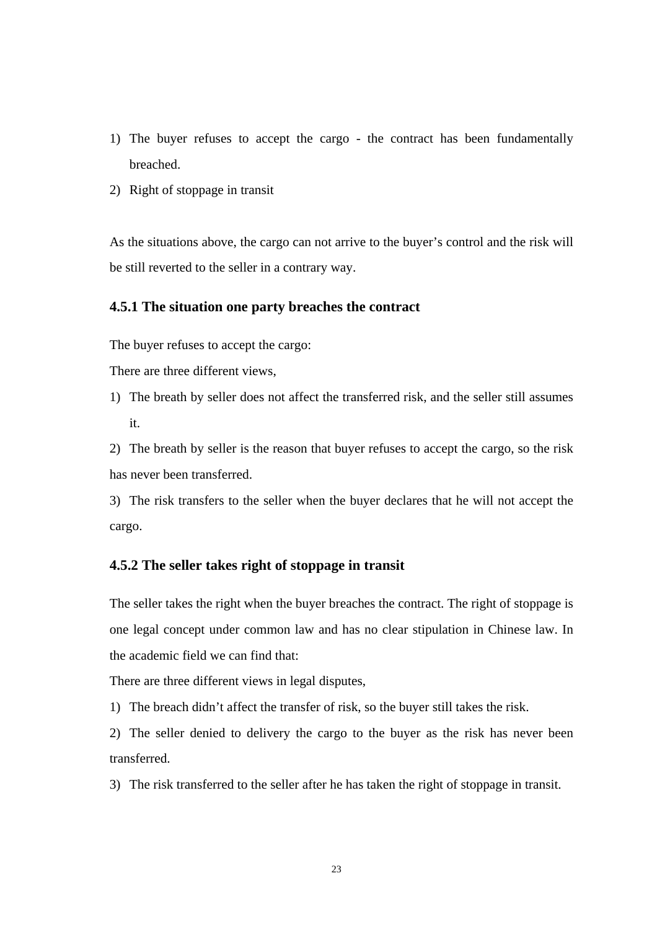- 1) The buyer refuses to accept the cargo the contract has been fundamentally breached.
- 2) Right of stoppage in transit

As the situations above, the cargo can not arrive to the buyer's control and the risk will be still reverted to the seller in a contrary way.

#### **4.5.1 The situation one party breaches the contract**

The buyer refuses to accept the cargo:

There are three different views,

1) The breath by seller does not affect the transferred risk, and the seller still assumes it.

2) The breath by seller is the reason that buyer refuses to accept the cargo, so the risk has never been transferred.

3) The risk transfers to the seller when the buyer declares that he will not accept the cargo.

#### **4.5.2 The seller takes right of stoppage in transit**

The seller takes the right when the buyer breaches the contract. The right of stoppage is one legal concept under common law and has no clear stipulation in Chinese law. In the academic field we can find that:

There are three different views in legal disputes,

1) The breach didn't affect the transfer of risk, so the buyer still takes the risk.

2) The seller denied to delivery the cargo to the buyer as the risk has never been transferred.

3) The risk transferred to the seller after he has taken the right of stoppage in transit.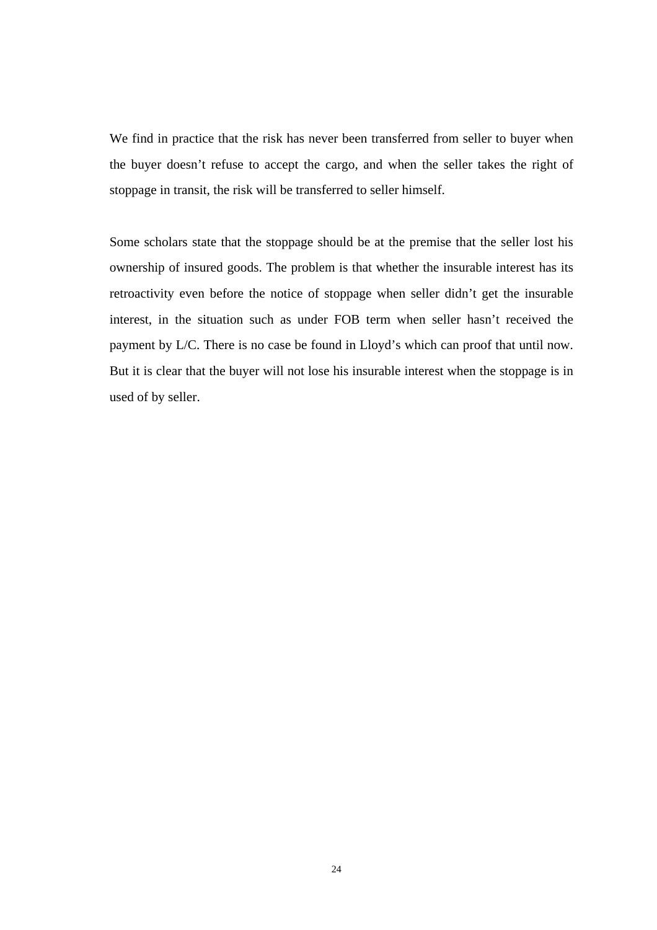We find in practice that the risk has never been transferred from seller to buyer when the buyer doesn't refuse to accept the cargo, and when the seller takes the right of stoppage in transit, the risk will be transferred to seller himself.

Some scholars state that the stoppage should be at the premise that the seller lost his ownership of insured goods. The problem is that whether the insurable interest has its retroactivity even before the notice of stoppage when seller didn't get the insurable interest, in the situation such as under FOB term when seller hasn't received the payment by L/C. There is no case be found in Lloyd's which can proof that until now. But it is clear that the buyer will not lose his insurable interest when the stoppage is in used of by seller.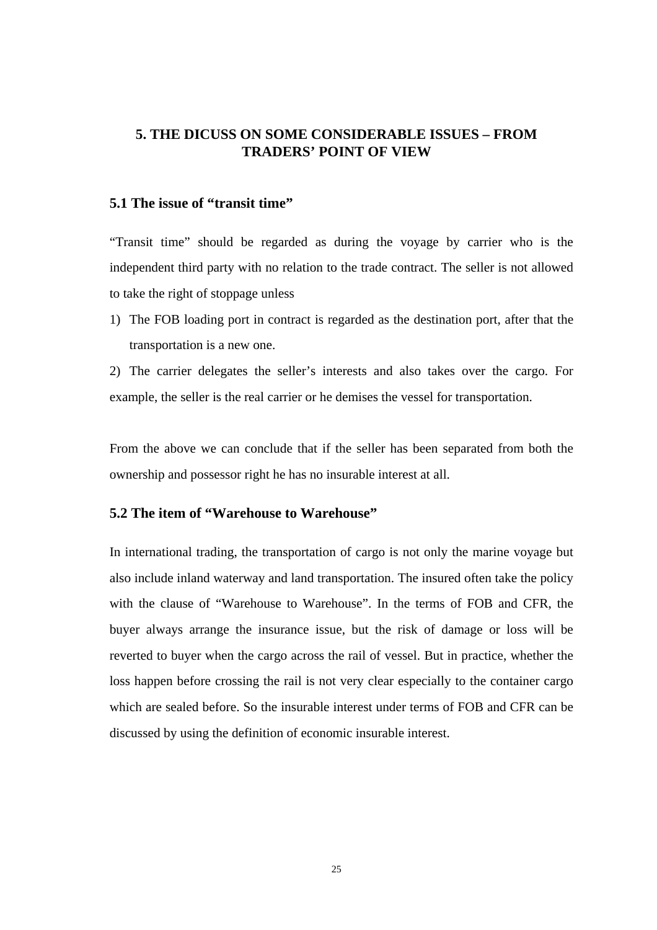### **5. THE DICUSS ON SOME CONSIDERABLE ISSUES – FROM TRADERS' POINT OF VIEW**

#### **5.1 The issue of "transit time"**

"Transit time" should be regarded as during the voyage by carrier who is the independent third party with no relation to the trade contract. The seller is not allowed to take the right of stoppage unless

1) The FOB loading port in contract is regarded as the destination port, after that the transportation is a new one.

2) The carrier delegates the seller's interests and also takes over the cargo. For example, the seller is the real carrier or he demises the vessel for transportation.

From the above we can conclude that if the seller has been separated from both the ownership and possessor right he has no insurable interest at all.

#### **5.2 The item of "Warehouse to Warehouse"**

In international trading, the transportation of cargo is not only the marine voyage but also include inland waterway and land transportation. The insured often take the policy with the clause of "Warehouse to Warehouse". In the terms of FOB and CFR, the buyer always arrange the insurance issue, but the risk of damage or loss will be reverted to buyer when the cargo across the rail of vessel. But in practice, whether the loss happen before crossing the rail is not very clear especially to the container cargo which are sealed before. So the insurable interest under terms of FOB and CFR can be discussed by using the definition of economic insurable interest.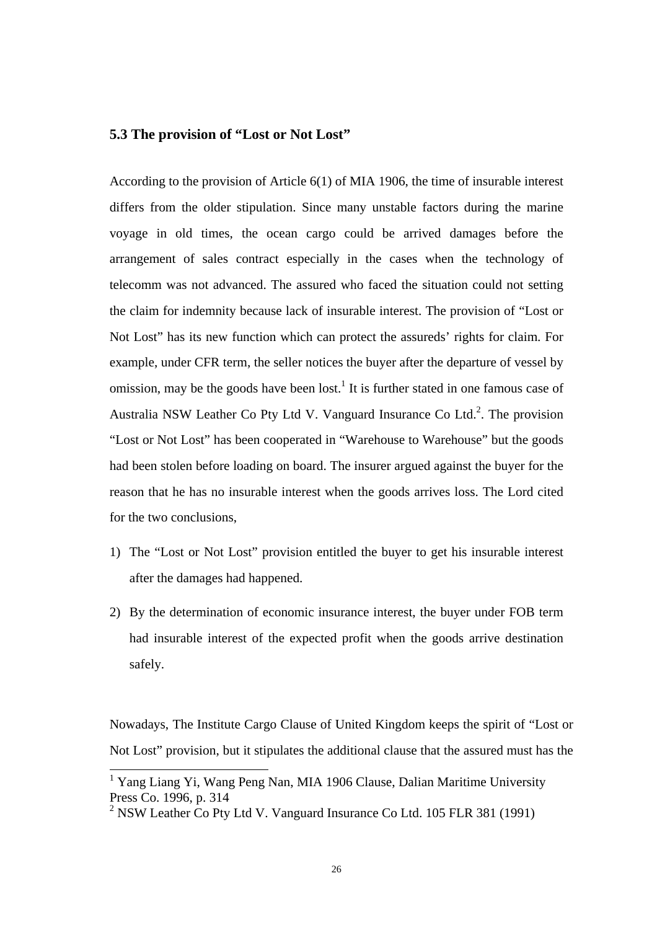#### **5.3 The provision of "Lost or Not Lost"**

According to the provision of Article 6(1) of MIA 1906, the time of insurable interest differs from the older stipulation. Since many unstable factors during the marine voyage in old times, the ocean cargo could be arrived damages before the arrangement of sales contract especially in the cases when the technology of telecomm was not advanced. The assured who faced the situation could not setting the claim for indemnity because lack of insurable interest. The provision of "Lost or Not Lost" has its new function which can protect the assureds' rights for claim. For example, under CFR term, the seller notices the buyer after the departure of vessel by omission, may be the goods have been lost.<sup>1</sup> It is further stated in one famous case of Australia NSW Leather Co Pty Ltd V. Vanguard Insurance Co Ltd.<sup>2</sup>. The provision "Lost or Not Lost" has been cooperated in "Warehouse to Warehouse" but the goods had been stolen before loading on board. The insurer argued against the buyer for the reason that he has no insurable interest when the goods arrives loss. The Lord cited for the two conclusions,

- 1) The "Lost or Not Lost" provision entitled the buyer to get his insurable interest after the damages had happened.
- 2) By the determination of economic insurance interest, the buyer under FOB term had insurable interest of the expected profit when the goods arrive destination safely.

Nowadays, The Institute Cargo Clause of United Kingdom keeps the spirit of "Lost or Not Lost" provision, but it stipulates the additional clause that the assured must has the

 <sup>1</sup> Yang Liang Yi, Wang Peng Nan, MIA 1906 Clause, Dalian Maritime University Press Co. 1996, p. 314

<sup>&</sup>lt;sup>2</sup> NSW Leather Co Pty Ltd V. Vanguard Insurance Co Ltd. 105 FLR 381 (1991)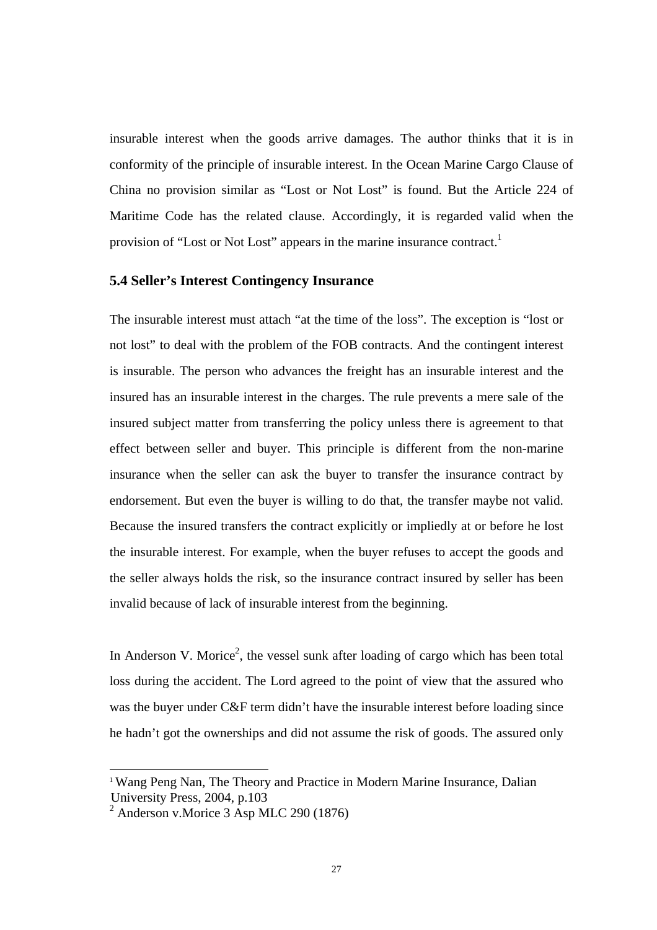insurable interest when the goods arrive damages. The author thinks that it is in conformity of the principle of insurable interest. In the Ocean Marine Cargo Clause of China no provision similar as "Lost or Not Lost" is found. But the Article 224 of Maritime Code has the related clause. Accordingly, it is regarded valid when the provision of "Lost or Not Lost" appears in the marine insurance contract.<sup>1</sup>

#### **5.4 Seller's Interest Contingency Insurance**

The insurable interest must attach "at the time of the loss". The exception is "lost or not lost" to deal with the problem of the FOB contracts. And the contingent interest is insurable. The person who advances the freight has an insurable interest and the insured has an insurable interest in the charges. The rule prevents a mere sale of the insured subject matter from transferring the policy unless there is agreement to that effect between seller and buyer. This principle is different from the non-marine insurance when the seller can ask the buyer to transfer the insurance contract by endorsement. But even the buyer is willing to do that, the transfer maybe not valid. Because the insured transfers the contract explicitly or impliedly at or before he lost the insurable interest. For example, when the buyer refuses to accept the goods and the seller always holds the risk, so the insurance contract insured by seller has been invalid because of lack of insurable interest from the beginning.

In Anderson V. Morice<sup>2</sup>, the vessel sunk after loading of cargo which has been total loss during the accident. The Lord agreed to the point of view that the assured who was the buyer under C&F term didn't have the insurable interest before loading since he hadn't got the ownerships and did not assume the risk of goods. The assured only

<sup>&</sup>lt;sup>1</sup> Wang Peng Nan, The Theory and Practice in Modern Marine Insurance, Dalian University Press, 2004, p.103

<sup>2</sup> Anderson v.Morice 3 Asp MLC 290 (1876)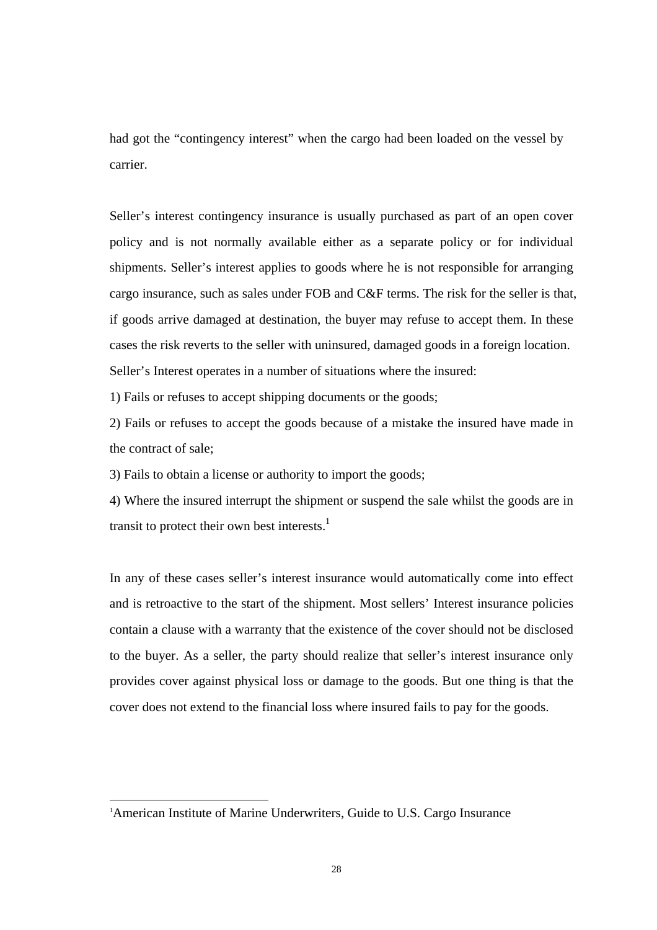had got the "contingency interest" when the cargo had been loaded on the vessel by carrier.

Seller's interest contingency insurance is usually purchased as part of an open cover policy and is not normally available either as a separate policy or for individual shipments. Seller's interest applies to goods where he is not responsible for arranging cargo insurance, such as sales under FOB and C&F terms. The risk for the seller is that, if goods arrive damaged at destination, the buyer may refuse to accept them. In these cases the risk reverts to the seller with uninsured, damaged goods in a foreign location. Seller's Interest operates in a number of situations where the insured:

1) Fails or refuses to accept shipping documents or the goods;

2) Fails or refuses to accept the goods because of a mistake the insured have made in the contract of sale;

3) Fails to obtain a license or authority to import the goods;

4) Where the insured interrupt the shipment or suspend the sale whilst the goods are in transit to protect their own best interests.<sup>1</sup>

In any of these cases seller's interest insurance would automatically come into effect and is retroactive to the start of the shipment. Most sellers' Interest insurance policies contain a clause with a warranty that the existence of the cover should not be disclosed to the buyer. As a seller, the party should realize that seller's interest insurance only provides cover against physical loss or damage to the goods. But one thing is that the cover does not extend to the financial loss where insured fails to pay for the goods.

 $\overline{1}$ <sup>1</sup>American Institute of Marine Underwriters, Guide to U.S. Cargo Insurance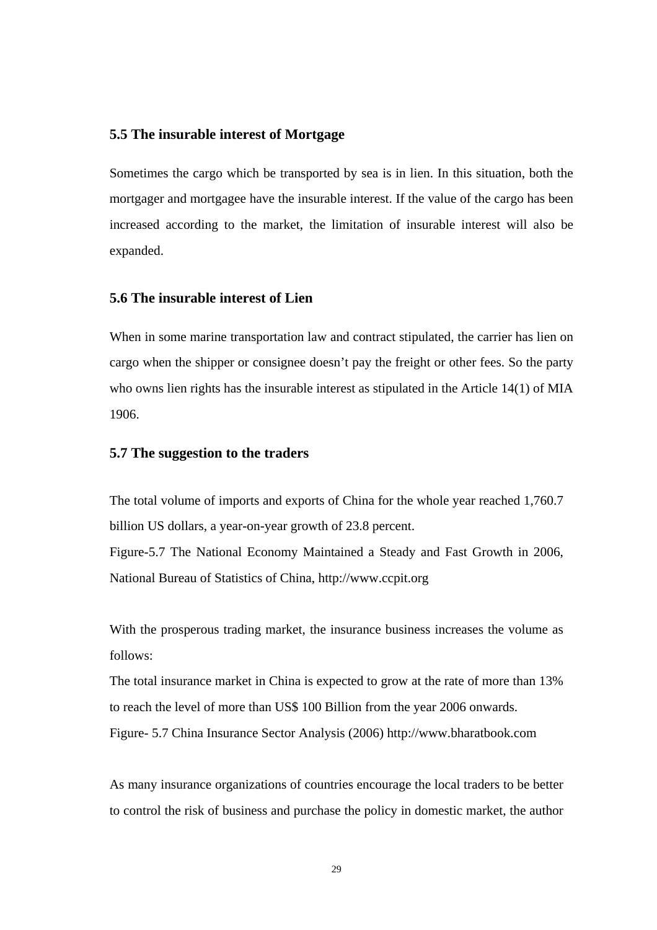#### **5.5 The insurable interest of Mortgage**

Sometimes the cargo which be transported by sea is in lien. In this situation, both the mortgager and mortgagee have the insurable interest. If the value of the cargo has been increased according to the market, the limitation of insurable interest will also be expanded.

#### **5.6 The insurable interest of Lien**

When in some marine transportation law and contract stipulated, the carrier has lien on cargo when the shipper or consignee doesn't pay the freight or other fees. So the party who owns lien rights has the insurable interest as stipulated in the Article 14(1) of MIA 1906.

#### **5.7 The suggestion to the traders**

The total volume of imports and exports of China for the whole year reached 1,760.7 billion US dollars, a year-on-year growth of 23.8 percent. Figure-5.7 The National Economy Maintained a Steady and Fast Growth in 2006, National Bureau of Statistics of China, http://www.ccpit.org

With the prosperous trading market, the insurance business increases the volume as follows:

The total insurance market in China is expected to grow at the rate of more than 13% to reach the level of more than US\$ 100 Billion from the year 2006 onwards.

Figure- 5.7 China Insurance Sector Analysis (2006) http://www.bharatbook.com

As many insurance organizations of countries encourage the local traders to be better to control the risk of business and purchase the policy in domestic market, the author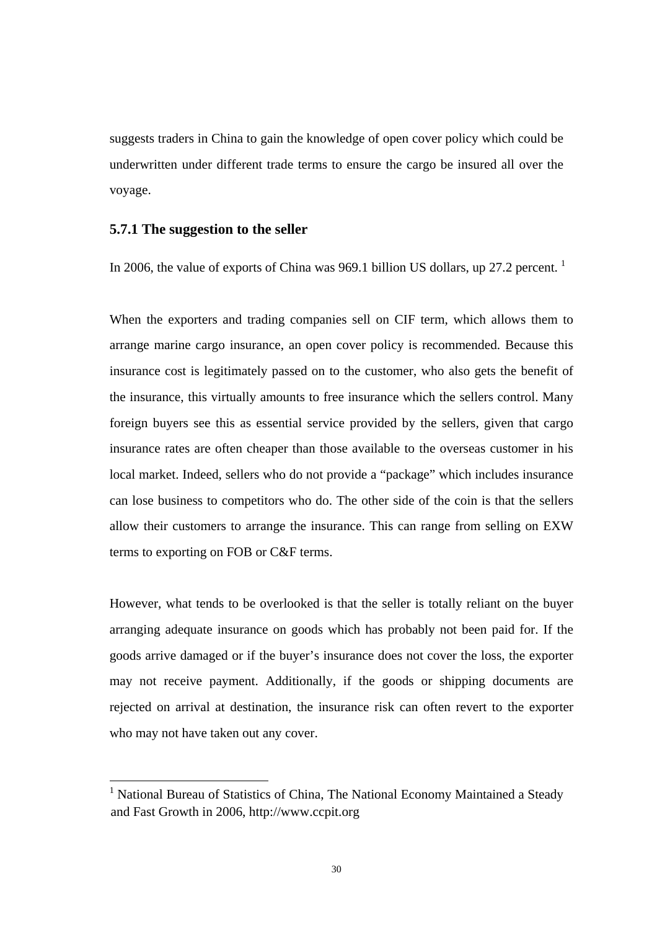suggests traders in China to gain the knowledge of open cover policy which could be underwritten under different trade terms to ensure the cargo be insured all over the voyage.

#### **5.7.1 The suggestion to the seller**

In 2006, the value of exports of China was 969.1 billion US dollars, up 27.2 percent.<sup>1</sup>

When the exporters and trading companies sell on CIF term, which allows them to arrange marine cargo insurance, an open cover policy is recommended. Because this insurance cost is legitimately passed on to the customer, who also gets the benefit of the insurance, this virtually amounts to free insurance which the sellers control. Many foreign buyers see this as essential service provided by the sellers, given that cargo insurance rates are often cheaper than those available to the overseas customer in his local market. Indeed, sellers who do not provide a "package" which includes insurance can lose business to competitors who do. The other side of the coin is that the sellers allow their customers to arrange the insurance. This can range from selling on EXW terms to exporting on FOB or C&F terms.

However, what tends to be overlooked is that the seller is totally reliant on the buyer arranging adequate insurance on goods which has probably not been paid for. If the goods arrive damaged or if the buyer's insurance does not cover the loss, the exporter may not receive payment. Additionally, if the goods or shipping documents are rejected on arrival at destination, the insurance risk can often revert to the exporter who may not have taken out any cover.

<sup>&</sup>lt;sup>1</sup> National Bureau of Statistics of China, The National Economy Maintained a Steady and Fast Growth in 2006, http://www.ccpit.org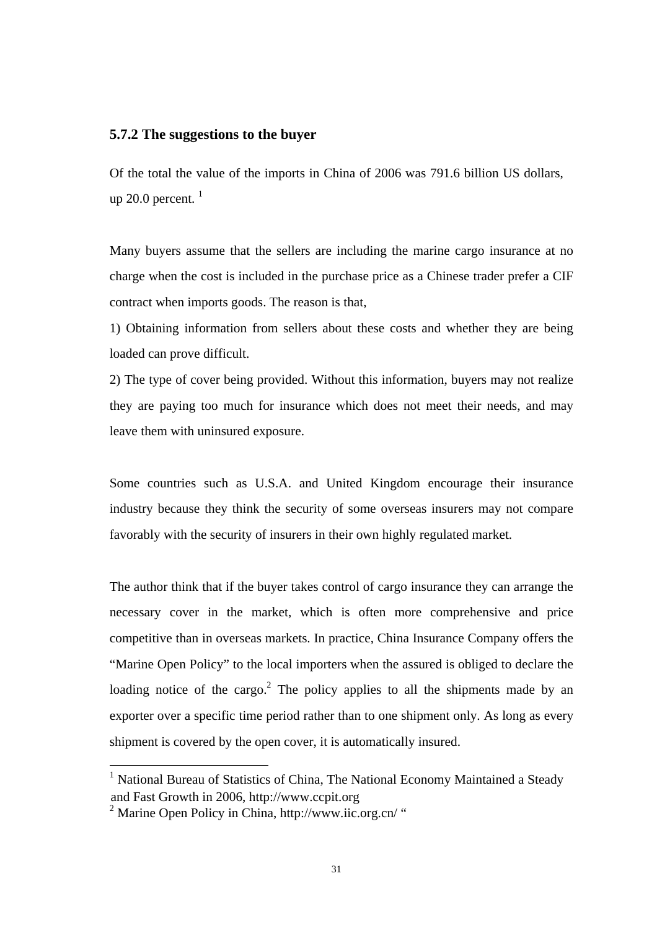#### **5.7.2 The suggestions to the buyer**

Of the total the value of the imports in China of 2006 was 791.6 billion US dollars, up 20.0 percent.  $1$ 

Many buyers assume that the sellers are including the marine cargo insurance at no charge when the cost is included in the purchase price as a Chinese trader prefer a CIF contract when imports goods. The reason is that,

1) Obtaining information from sellers about these costs and whether they are being loaded can prove difficult.

2) The type of cover being provided. Without this information, buyers may not realize they are paying too much for insurance which does not meet their needs, and may leave them with uninsured exposure.

Some countries such as U.S.A. and United Kingdom encourage their insurance industry because they think the security of some overseas insurers may not compare favorably with the security of insurers in their own highly regulated market.

The author think that if the buyer takes control of cargo insurance they can arrange the necessary cover in the market, which is often more comprehensive and price competitive than in overseas markets. In practice, China Insurance Company offers the "Marine Open Policy" to the local importers when the assured is obliged to declare the loading notice of the cargo.<sup>2</sup> The policy applies to all the shipments made by an exporter over a specific time period rather than to one shipment only. As long as every shipment is covered by the open cover, it is automatically insured.

<sup>&</sup>lt;sup>1</sup> National Bureau of Statistics of China, The National Economy Maintained a Steady and Fast Growth in 2006, http://www.ccpit.org

 $2$  Marine Open Policy in China, http://www.iic.org.cn/ "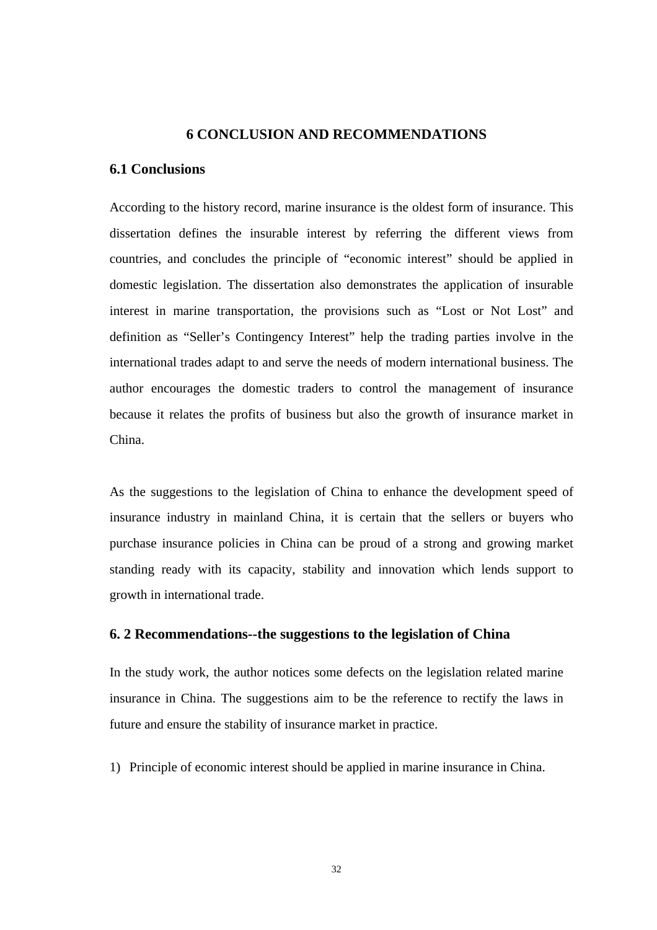#### **6 CONCLUSION AND RECOMMENDATIONS**

#### **6.1 Conclusions**

According to the history record, marine insurance is the oldest form of insurance. This dissertation defines the insurable interest by referring the different views from countries, and concludes the principle of "economic interest" should be applied in domestic legislation. The dissertation also demonstrates the application of insurable interest in marine transportation, the provisions such as "Lost or Not Lost" and definition as "Seller's Contingency Interest" help the trading parties involve in the international trades adapt to and serve the needs of modern international business. The author encourages the domestic traders to control the management of insurance because it relates the profits of business but also the growth of insurance market in China.

As the suggestions to the legislation of China to enhance the development speed of insurance industry in mainland China, it is certain that the sellers or buyers who purchase insurance policies in China can be proud of a strong and growing market standing ready with its capacity, stability and innovation which lends support to growth in international trade.

#### **6. 2 Recommendations--the suggestions to the legislation of China**

In the study work, the author notices some defects on the legislation related marine insurance in China. The suggestions aim to be the reference to rectify the laws in future and ensure the stability of insurance market in practice.

1) Principle of economic interest should be applied in marine insurance in China.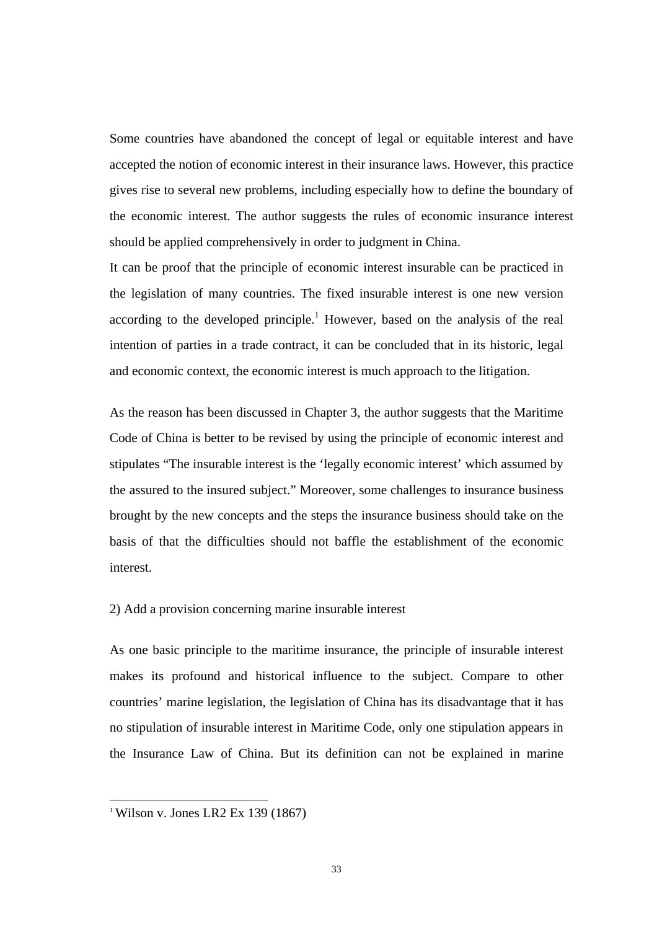Some countries have abandoned the concept of legal or equitable interest and have accepted the notion of economic interest in their insurance laws. However, this practice gives rise to several new problems, including especially how to define the boundary of the economic interest. The author suggests the rules of economic insurance interest should be applied comprehensively in order to judgment in China.

It can be proof that the principle of economic interest insurable can be practiced in the legislation of many countries. The fixed insurable interest is one new version according to the developed principle.<sup>1</sup> However, based on the analysis of the real intention of parties in a trade contract, it can be concluded that in its historic, legal and economic context, the economic interest is much approach to the litigation.

As the reason has been discussed in Chapter 3, the author suggests that the Maritime Code of China is better to be revised by using the principle of economic interest and stipulates "The insurable interest is the 'legally economic interest' which assumed by the assured to the insured subject." Moreover, some challenges to insurance business brought by the new concepts and the steps the insurance business should take on the basis of that the difficulties should not baffle the establishment of the economic interest.

#### 2) Add a provision concerning marine insurable interest

As one basic principle to the maritime insurance, the principle of insurable interest makes its profound and historical influence to the subject. Compare to other countries' marine legislation, the legislation of China has its disadvantage that it has no stipulation of insurable interest in Maritime Code, only one stipulation appears in the Insurance Law of China. But its definition can not be explained in marine

<sup>&</sup>lt;sup>1</sup> Wilson v. Jones LR2 Ex 139 (1867)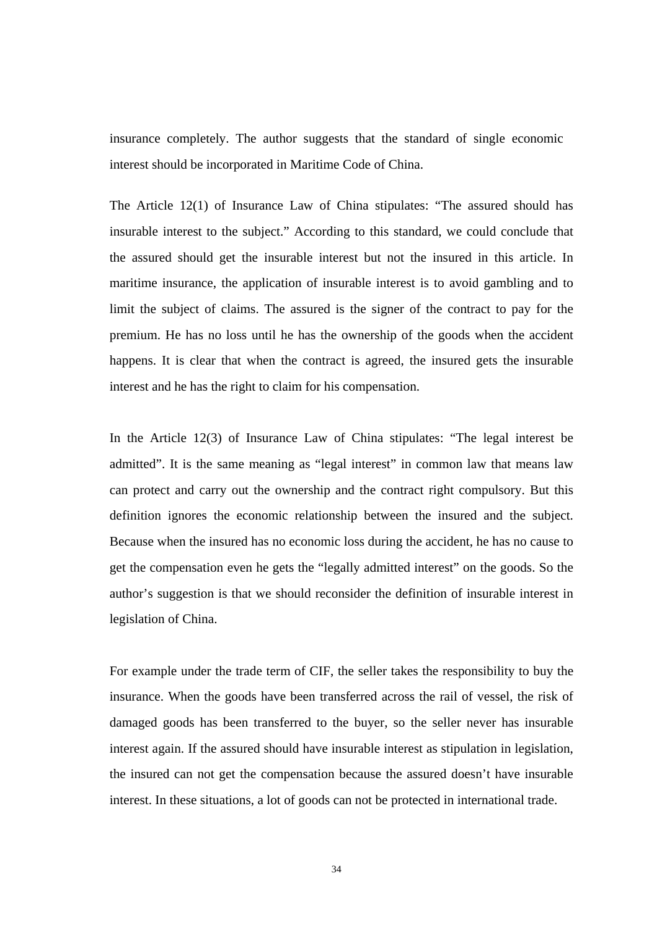insurance completely. The author suggests that the standard of single economic interest should be incorporated in Maritime Code of China.

The Article 12(1) of Insurance Law of China stipulates: "The assured should has insurable interest to the subject." According to this standard, we could conclude that the assured should get the insurable interest but not the insured in this article. In maritime insurance, the application of insurable interest is to avoid gambling and to limit the subject of claims. The assured is the signer of the contract to pay for the premium. He has no loss until he has the ownership of the goods when the accident happens. It is clear that when the contract is agreed, the insured gets the insurable interest and he has the right to claim for his compensation.

In the Article 12(3) of Insurance Law of China stipulates: "The legal interest be admitted". It is the same meaning as "legal interest" in common law that means law can protect and carry out the ownership and the contract right compulsory. But this definition ignores the economic relationship between the insured and the subject. Because when the insured has no economic loss during the accident, he has no cause to get the compensation even he gets the "legally admitted interest" on the goods. So the author's suggestion is that we should reconsider the definition of insurable interest in legislation of China.

For example under the trade term of CIF, the seller takes the responsibility to buy the insurance. When the goods have been transferred across the rail of vessel, the risk of damaged goods has been transferred to the buyer, so the seller never has insurable interest again. If the assured should have insurable interest as stipulation in legislation, the insured can not get the compensation because the assured doesn't have insurable interest. In these situations, a lot of goods can not be protected in international trade.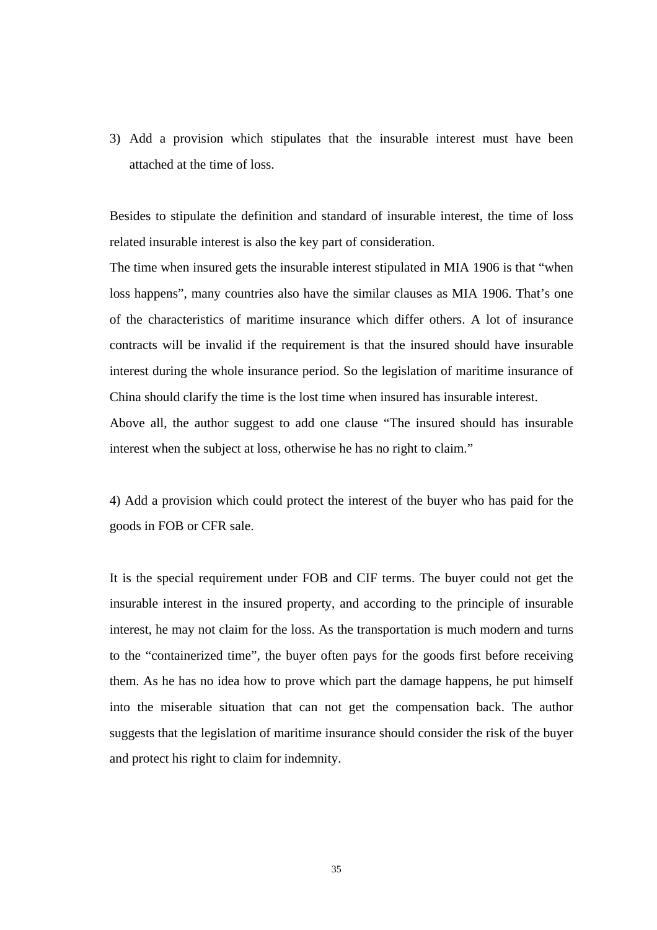3) Add a provision which stipulates that the insurable interest must have been attached at the time of loss.

Besides to stipulate the definition and standard of insurable interest, the time of loss related insurable interest is also the key part of consideration.

The time when insured gets the insurable interest stipulated in MIA 1906 is that "when loss happens", many countries also have the similar clauses as MIA 1906. That's one of the characteristics of maritime insurance which differ others. A lot of insurance contracts will be invalid if the requirement is that the insured should have insurable interest during the whole insurance period. So the legislation of maritime insurance of China should clarify the time is the lost time when insured has insurable interest. Above all, the author suggest to add one clause "The insured should has insurable

interest when the subject at loss, otherwise he has no right to claim."

4) Add a provision which could protect the interest of the buyer who has paid for the goods in FOB or CFR sale.

It is the special requirement under FOB and CIF terms. The buyer could not get the insurable interest in the insured property, and according to the principle of insurable interest, he may not claim for the loss. As the transportation is much modern and turns to the "containerized time", the buyer often pays for the goods first before receiving them. As he has no idea how to prove which part the damage happens, he put himself into the miserable situation that can not get the compensation back. The author suggests that the legislation of maritime insurance should consider the risk of the buyer and protect his right to claim for indemnity.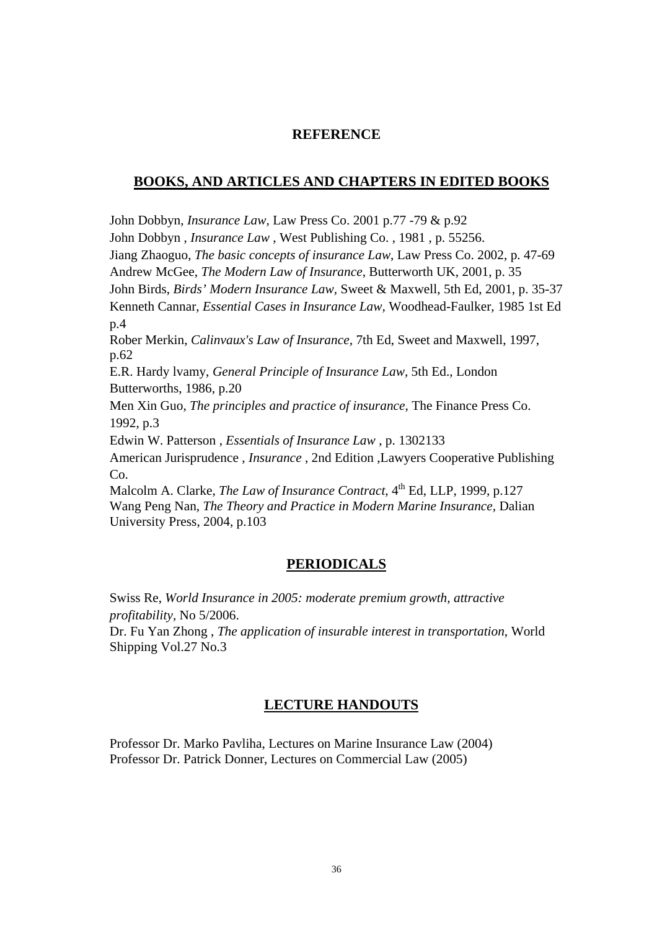#### **REFERENCE**

#### **BOOKS, AND ARTICLES AND CHAPTERS IN EDITED BOOKS**

John Dobbyn, *Insurance Law,* Law Press Co. 2001 p.77 -79 & p.92 John Dobbyn , *Insurance Law* , West Publishing Co. , 1981 , p. 55256. Jiang Zhaoguo, *The basic concepts of insurance Law*, Law Press Co. 2002, p. 47-69 Andrew McGee, *The Modern Law of Insurance*, Butterworth UK, 2001, p. 35 John Birds, *Birds' Modern Insurance Law,* Sweet & Maxwell, 5th Ed, 2001, p. 35-37 Kenneth Cannar, *Essential Cases in Insurance Law,* Woodhead-Faulker, 1985 1st Ed p.4 Rober Merkin, *Calinvaux's Law of Insurance,* 7th Ed, Sweet and Maxwell, 1997, p.62 E.R. Hardy lvamy, *General Principle of Insurance Law,* 5th Ed., London Butterworths, 1986, p.20 Men Xin Guo, *The principles and practice of insurance,* The Finance Press Co. 1992, p.3 Edwin W. Patterson , *Essentials of Insurance Law* , p. 1302133 American Jurisprudence , *Insurance* , 2nd Edition ,Lawyers Cooperative Publishing Co. Malcolm A. Clarke, *The Law of Insurance Contract*, 4<sup>th</sup> Ed, LLP, 1999, p.127 Wang Peng Nan, *The Theory and Practice in Modern Marine Insurance,* Dalian University Press, 2004, p.103

### **PERIODICALS**

Swiss Re, *World Insurance in 2005: moderate premium growth, attractive profitability,* No 5/2006.

Dr. Fu Yan Zhong , *The application of insurable interest in transportation*, World Shipping Vol.27 No.3

## **LECTURE HANDOUTS**

Professor Dr. Marko Pavliha, Lectures on Marine Insurance Law (2004) Professor Dr. Patrick Donner, Lectures on Commercial Law (2005)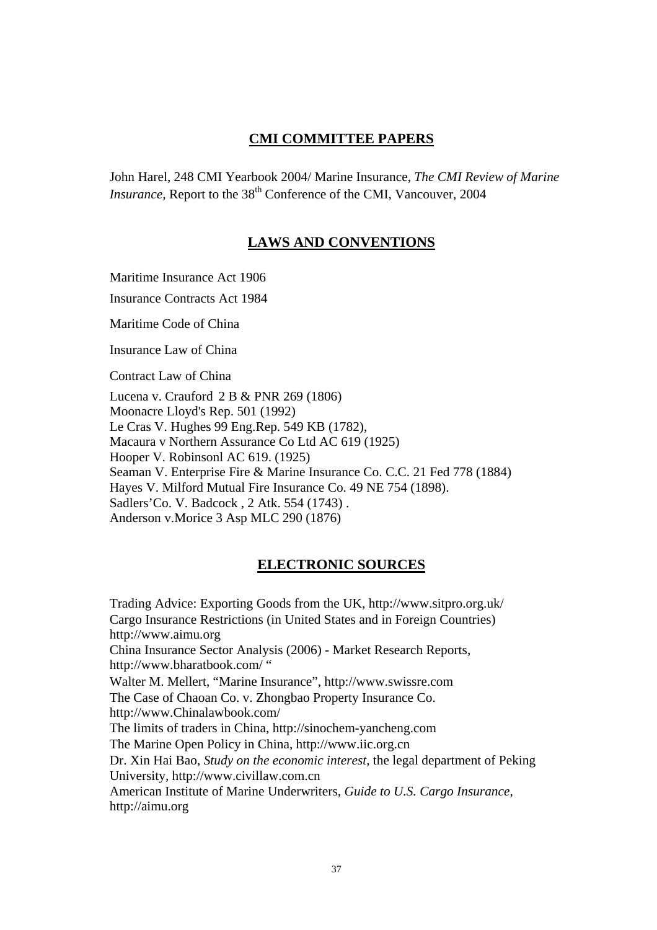### **CMI COMMITTEE PAPERS**

John Harel, 248 CMI Yearbook 2004/ Marine Insurance, *The CMI Review of Marine Insurance*, Report to the 38<sup>th</sup> Conference of the CMI, Vancouver, 2004

### **LAWS AND CONVENTIONS**

Maritime Insurance Act 1906

Insurance Contracts Act 1984

Maritime Code of China

Insurance Law of China

Contract Law of China

Lucena v. Crauford 2 B & PNR 269 (1806) Moonacre Lloyd's Rep. 501 (1992) Le Cras V. Hughes 99 Eng.Rep. 549 KB (1782), Macaura v Northern Assurance Co Ltd AC 619 (1925) Hooper V. Robinsonl AC 619. (1925) Seaman V. Enterprise Fire & Marine Insurance Co. C.C. 21 Fed 778 (1884) Hayes V. Milford Mutual Fire Insurance Co. 49 NE 754 (1898). Sadlers'Co. V. Badcock , 2 Atk. 554 (1743) . Anderson v.Morice 3 Asp MLC 290 (1876)

#### **ELECTRONIC SOURCES**

Trading Advice: Exporting Goods from the UK, http://www.sitpro.org.uk/ Cargo Insurance Restrictions (in United States and in Foreign Countries) http://www.aimu.org China Insurance Sector Analysis (2006) - Market Research Reports, http://www.bharatbook.com/ " Walter M. Mellert, "Marine Insurance", http://www.swissre.com The Case of Chaoan Co. v. Zhongbao Property Insurance Co. http://www.Chinalawbook.com/ The limits of traders in China, http://sinochem-yancheng.com The Marine Open Policy in China, http://www.iic.org.cn Dr. Xin Hai Bao, *Study on the economic interest,* the legal department of Peking University, http://www.civillaw.com.cn American Institute of Marine Underwriters, *Guide to U.S. Cargo Insurance,*  http://aimu.org